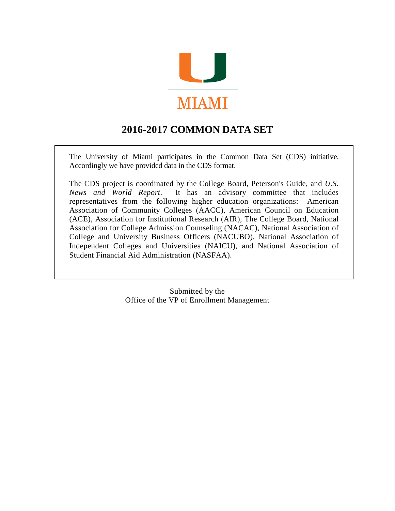

## **2016-2017 COMMON DATA SET**

The University of Miami participates in the Common Data Set (CDS) initiative. Accordingly we have provided data in the CDS format.

The CDS project is coordinated by the College Board, Peterson's Guide, and *U.S. News and World Report*. It has an advisory committee that includes representatives from the following higher education organizations: American Association of Community Colleges (AACC), American Council on Education (ACE), Association for Institutional Research (AIR), The College Board, National Association for College Admission Counseling (NACAC), National Association of College and University Business Officers (NACUBO), National Association of Independent Colleges and Universities (NAICU), and National Association of Student Financial Aid Administration (NASFAA).

> Submitted by the Office of the VP of Enrollment Management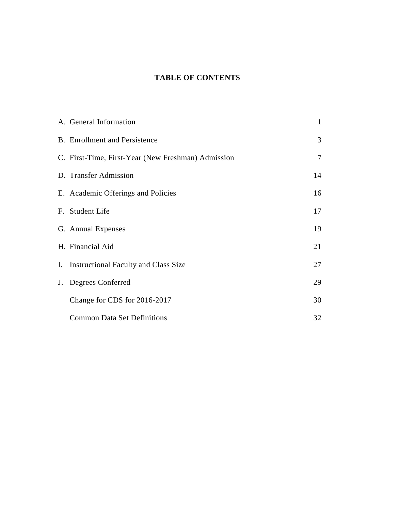### **TABLE OF CONTENTS**

| A. General Information                             | $\mathbf{1}$   |
|----------------------------------------------------|----------------|
| <b>B.</b> Enrollment and Persistence               | 3              |
| C. First-Time, First-Year (New Freshman) Admission | $\overline{7}$ |
| D. Transfer Admission                              | 14             |
| E. Academic Offerings and Policies                 | 16             |
| F. Student Life                                    | 17             |
| G. Annual Expenses                                 | 19             |
| H. Financial Aid                                   | 21             |
| I. Instructional Faculty and Class Size            | 27             |
| J. Degrees Conferred                               | 29             |
| Change for CDS for 2016-2017                       | 30             |
| <b>Common Data Set Definitions</b>                 | 32             |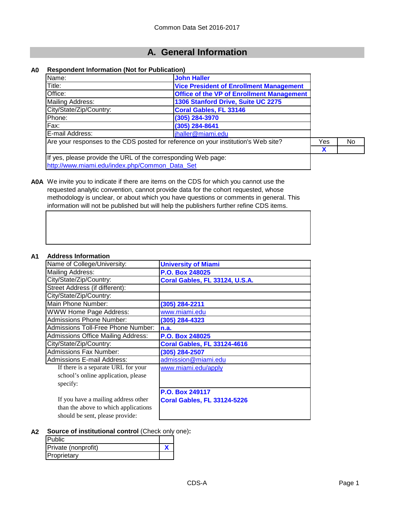### **A. General Information**

#### **A0 Respondent Information (Not for Publication)**

| Name:                                                         | <b>John Haller</b>                                                                 |     |    |
|---------------------------------------------------------------|------------------------------------------------------------------------------------|-----|----|
| Title:                                                        | <b>Vice President of Enrollment Management</b>                                     |     |    |
| Office:                                                       | <b>Office of the VP of Enrollment Management</b>                                   |     |    |
| Mailing Address:                                              | 1306 Stanford Drive, Suite UC 2275                                                 |     |    |
| City/State/Zip/Country:                                       | <b>Coral Gables, FL 33146</b>                                                      |     |    |
| Phone:                                                        | (305) 284-3970                                                                     |     |    |
| Fax:                                                          | (305) 284-8641                                                                     |     |    |
| E-mail Address:                                               | jhaller@miami.edu                                                                  |     |    |
|                                                               | Are your responses to the CDS posted for reference on your institution's Web site? | Yes | No |
|                                                               |                                                                                    | X   |    |
| If yes, please provide the URL of the corresponding Web page: |                                                                                    |     |    |
| http://www.miami.edu/index.php/Common_Data_Set                |                                                                                    |     |    |



**A0A** We invite you to indicate if there are items on the CDS for which you cannot use the requested analytic convention, cannot provide data for the cohort requested, whose methodology is unclear, or about which you have questions or comments in general. This information will not be published but will help the publishers further refine CDS items.

#### **A1 Address Information**

| Айигсээ шгөнгийн                          |                                    |
|-------------------------------------------|------------------------------------|
| Name of College/University:               | <b>University of Miami</b>         |
| Mailing Address:                          | P.O. Box 248025                    |
| City/State/Zip/Country:                   | Coral Gables, FL 33124, U.S.A.     |
| Street Address (if different):            |                                    |
| City/State/Zip/Country:                   |                                    |
| Main Phone Number:                        | (305) 284-2211                     |
| <b>WWW Home Page Address:</b>             | www.miami.edu                      |
| <b>Admissions Phone Number:</b>           | (305) 284-4323                     |
| Admissions Toll-Free Phone Number:        | n.a.                               |
| <b>Admissions Office Mailing Address:</b> | <b>P.O. Box 248025</b>             |
| City/State/Zip/Country:                   | <b>Coral Gables, FL 33124-4616</b> |
| Admissions Fax Number:                    | (305) 284-2507                     |
| <b>Admissions E-mail Address:</b>         | admission@miami.edu                |
| If there is a separate URL for your       | www.miami.edu/apply                |
| school's online application, please       |                                    |
| specify:                                  |                                    |
|                                           | <b>P.O. Box 249117</b>             |
| If you have a mailing address other       | <b>Coral Gables, FL 33124-5226</b> |
| than the above to which applications      |                                    |
| should be sent, please provide:           |                                    |

#### **A2 Source of institutional control** (Check only one)**:**

| <b>Public</b>       |  |
|---------------------|--|
| Private (nonprofit) |  |
| Proprietary         |  |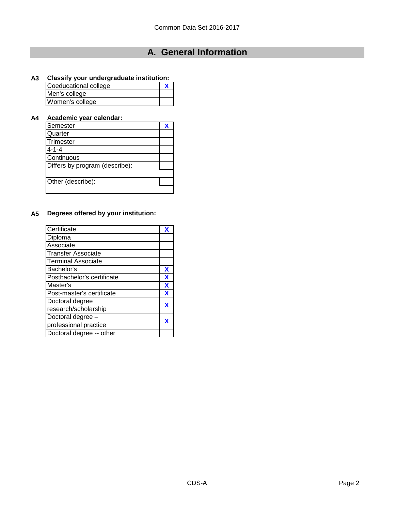# **A. General Information**

### **A3 Classify your undergraduate institution:**

| Coeducational college |  |
|-----------------------|--|
| Men's college         |  |
| Women's college       |  |

### **A4 Academic year calendar:**

| Semester                       |  |
|--------------------------------|--|
| Quarter                        |  |
| Trimester                      |  |
| $4 - 1 - 4$                    |  |
| Continuous                     |  |
| Differs by program (describe): |  |
|                                |  |
| Other (describe):              |  |
|                                |  |

### **A5 Degrees offered by your institution:**

| Certificate                | χ |
|----------------------------|---|
| Diploma                    |   |
| Associate                  |   |
| <b>Transfer Associate</b>  |   |
| <b>Terminal Associate</b>  |   |
| Bachelor's                 | х |
| Postbachelor's certificate | χ |
| Master's                   | X |
| Post-master's certificate  | x |
| Doctoral degree            | X |
| research/scholarship       |   |
| Doctoral degree -          | X |
| professional practice      |   |
| Doctoral degree -- other   |   |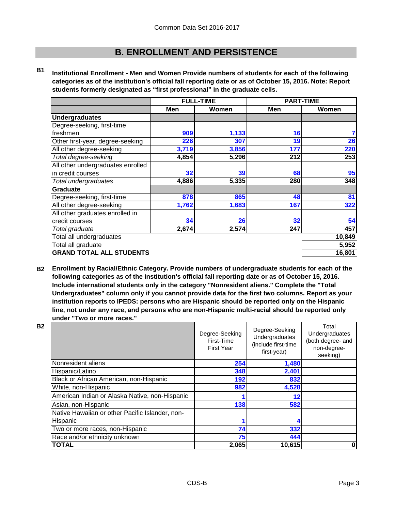**B1 Institutional Enrollment - Men and Women Provide numbers of students for each of the following categories as of the institution's official fall reporting date or as of October 15, 2016. Note: Report students formerly designated as "first professional" in the graduate cells.**

|                                   |       | <b>FULL-TIME</b> | <b>PART-TIME</b> |        |
|-----------------------------------|-------|------------------|------------------|--------|
|                                   | Men   | Women            | Men              | Women  |
| <b>Undergraduates</b>             |       |                  |                  |        |
| Degree-seeking, first-time        |       |                  |                  |        |
| freshmen                          | 909   | 1,133            | 16               |        |
| Other first-year, degree-seeking  | 226   | 307              | 19               | 26     |
| All other degree-seeking          | 3,719 | 3,856            | 177              | 220    |
| Total degree-seeking              | 4,854 | 5,296            | 212              | 253    |
| All other undergraduates enrolled |       |                  |                  |        |
| in credit courses                 | 32    | 39               | 68               | 95     |
| Total undergraduates              | 4,886 | 5,335            | 280              | 348    |
| Graduate                          |       |                  |                  |        |
| Degree-seeking, first-time        | 878   | 865              | 48               | 81     |
| All other degree-seeking          | 1,762 | 1,683            | 167              | 322    |
| All other graduates enrolled in   |       |                  |                  |        |
| credit courses                    | 34    | 26               | 32               | 54     |
| Total graduate                    | 2,674 | 2,574            | 247              | 457    |
| Total all undergraduates          |       |                  |                  | 10,849 |
| Total all graduate                |       | 5,952            |                  |        |
| <b>GRAND TOTAL ALL STUDENTS</b>   |       |                  |                  | 16,801 |

**B2 Enrollment by Racial/Ethnic Category. Provide numbers of undergraduate students for each of the following categories as of the institution's official fall reporting date or as of October 15, 2016. Include international students only in the category "Nonresident aliens." Complete the "Total Undergraduates" column only if you cannot provide data for the first two columns. Report as your institution reports to IPEDS: persons who are Hispanic should be reported only on the Hispanic line, not under any race, and persons who are non-Hispanic multi-racial should be reported only under "Two or more races."** 

| <b>B2</b> |                                                             | Degree-Seeking<br>First-Time<br><b>First Year</b> | Degree-Seeking<br>Undergraduates<br>(include first-time<br>first-year) | Total<br>Undergraduates<br>(both degree- and<br>non-degree-<br>seeking) |
|-----------|-------------------------------------------------------------|---------------------------------------------------|------------------------------------------------------------------------|-------------------------------------------------------------------------|
|           | Nonresident aliens                                          | 254                                               | 1,480                                                                  |                                                                         |
|           | Hispanic/Latino                                             | 348                                               | 2,401                                                                  |                                                                         |
|           | Black or African American, non-Hispanic                     | 192                                               | 832                                                                    |                                                                         |
|           | White, non-Hispanic                                         | 982                                               | 4,528                                                                  |                                                                         |
|           | American Indian or Alaska Native, non-Hispanic              |                                                   | 12                                                                     |                                                                         |
|           | Asian, non-Hispanic                                         | 138                                               | 582                                                                    |                                                                         |
|           | Native Hawaiian or other Pacific Islander, non-<br>Hispanic |                                                   |                                                                        |                                                                         |
|           | Two or more races, non-Hispanic                             | 74                                                | 332                                                                    |                                                                         |
|           | Race and/or ethnicity unknown                               | 75                                                | 444                                                                    |                                                                         |
|           | <b>TOTAL</b>                                                | 2,065                                             | 10,615                                                                 | 0                                                                       |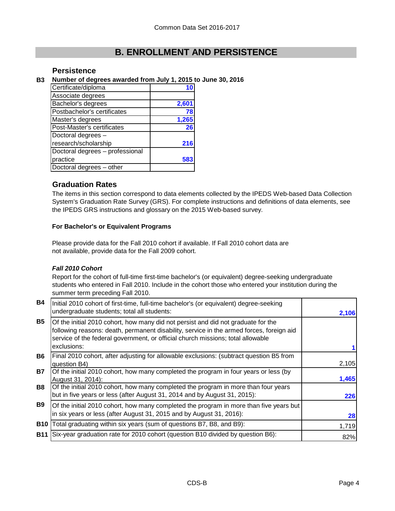### **Persistence**

#### **B3 Number of degrees awarded from July 1, 2015 to June 30, 2016**

| Certificate/diploma             |       |
|---------------------------------|-------|
| Associate degrees               |       |
| Bachelor's degrees              | 2,601 |
| Postbachelor's certificates     | 78    |
| Master's degrees                | 1,265 |
| Post-Master's certificates      | 26    |
| Doctoral degrees -              |       |
| research/scholarship            | 216   |
| Doctoral degrees - professional |       |
| practice                        |       |
| Doctoral degrees - other        |       |

#### **Graduation Rates**

The items in this section correspond to data elements collected by the IPEDS Web-based Data Collection System's Graduation Rate Survey (GRS). For complete instructions and definitions of data elements, see the IPEDS GRS instructions and glossary on the 2015 Web-based survey.

#### **For Bachelor's or Equivalent Programs**

Please provide data for the Fall 2010 cohort if available. If Fall 2010 cohort data are not available, provide data for the Fall 2009 cohort.

#### *Fall 2010 Cohort*

Report for the cohort of full-time first-time bachelor's (or equivalent) degree-seeking undergraduate students who entered in Fall 2010. Include in the cohort those who entered your institution during the summer term preceding Fall 2010.

| <b>B4</b>  | Initial 2010 cohort of first-time, full-time bachelor's (or equivalent) degree-seeking<br>undergraduate students; total all students:                                                                                                                                           | 2,106 |
|------------|---------------------------------------------------------------------------------------------------------------------------------------------------------------------------------------------------------------------------------------------------------------------------------|-------|
| <b>B5</b>  | Of the initial 2010 cohort, how many did not persist and did not graduate for the<br>following reasons: death, permanent disability, service in the armed forces, foreign aid<br>service of the federal government, or official church missions; total allowable<br>exclusions: |       |
| <b>B6</b>  | Final 2010 cohort, after adjusting for allowable exclusions: (subtract question B5 from<br>question B4)                                                                                                                                                                         | 2,105 |
| <b>B7</b>  | Of the initial 2010 cohort, how many completed the program in four years or less (by<br>August 31, 2014):                                                                                                                                                                       | 1,465 |
| <b>B8</b>  | Of the initial 2010 cohort, how many completed the program in more than four years<br>but in five years or less (after August 31, 2014 and by August 31, 2015):                                                                                                                 | 226   |
| <b>B9</b>  | Of the initial 2010 cohort, how many completed the program in more than five years but<br>in six years or less (after August 31, 2015 and by August 31, 2016):                                                                                                                  | 28    |
|            | <b>B10</b> Total graduating within six years (sum of questions B7, B8, and B9):                                                                                                                                                                                                 | 1,719 |
| <b>B11</b> | Six-year graduation rate for 2010 cohort (question B10 divided by question B6):                                                                                                                                                                                                 | 82%   |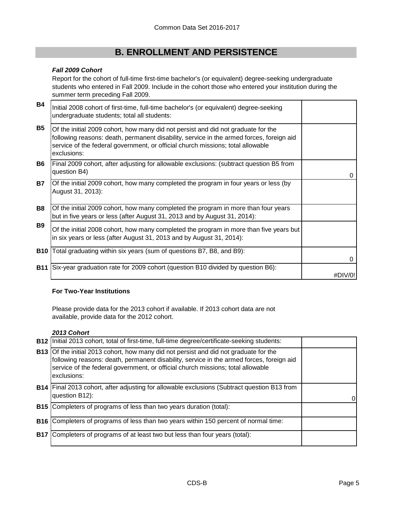#### *Fall 2009 Cohort*

Report for the cohort of full-time first-time bachelor's (or equivalent) degree-seeking undergraduate students who entered in Fall 2009. Include in the cohort those who entered your institution during the summer term preceding Fall 2009.

| <b>B4</b>  | Initial 2008 cohort of first-time, full-time bachelor's (or equivalent) degree-seeking<br>undergraduate students; total all students:                                                                                                                                           |          |
|------------|---------------------------------------------------------------------------------------------------------------------------------------------------------------------------------------------------------------------------------------------------------------------------------|----------|
| <b>B5</b>  | Of the initial 2009 cohort, how many did not persist and did not graduate for the<br>following reasons: death, permanent disability, service in the armed forces, foreign aid<br>service of the federal government, or official church missions; total allowable<br>exclusions: |          |
| <b>B6</b>  | Final 2009 cohort, after adjusting for allowable exclusions: (subtract question B5 from<br>question B4)                                                                                                                                                                         | $\Omega$ |
| B7         | Of the initial 2009 cohort, how many completed the program in four years or less (by<br>August 31, 2013):                                                                                                                                                                       |          |
| <b>B8</b>  | Of the initial 2009 cohort, how many completed the program in more than four years<br>but in five years or less (after August 31, 2013 and by August 31, 2014):                                                                                                                 |          |
| <b>B9</b>  | Of the initial 2008 cohort, how many completed the program in more than five years but<br>in six years or less (after August 31, 2013 and by August 31, 2014):                                                                                                                  |          |
|            | <b>B10</b> Total graduating within six years (sum of questions B7, B8, and B9):                                                                                                                                                                                                 | 0        |
| <b>B11</b> | Six-year graduation rate for 2009 cohort (question B10 divided by question B6):                                                                                                                                                                                                 | #DIV/0   |

#### **For Two-Year Institutions**

Please provide data for the 2013 cohort if available. If 2013 cohort data are not available, provide data for the 2012 cohort.

#### *2013 Cohort*

|            | <b>B12</b> Initial 2013 cohort, total of first-time, full-time degree/certificate-seeking students:                                                                                                                                                                             |  |
|------------|---------------------------------------------------------------------------------------------------------------------------------------------------------------------------------------------------------------------------------------------------------------------------------|--|
| <b>B13</b> | Of the initial 2013 cohort, how many did not persist and did not graduate for the<br>following reasons: death, permanent disability, service in the armed forces, foreign aid<br>service of the federal government, or official church missions; total allowable<br>exclusions: |  |
|            | <b>B14</b> Final 2013 cohort, after adjusting for allowable exclusions (Subtract question B13 from<br>question B12):                                                                                                                                                            |  |
| <b>B15</b> | Completers of programs of less than two years duration (total):                                                                                                                                                                                                                 |  |
| <b>B16</b> | Completers of programs of less than two years within 150 percent of normal time:                                                                                                                                                                                                |  |
| <b>B17</b> | Completers of programs of at least two but less than four years (total):                                                                                                                                                                                                        |  |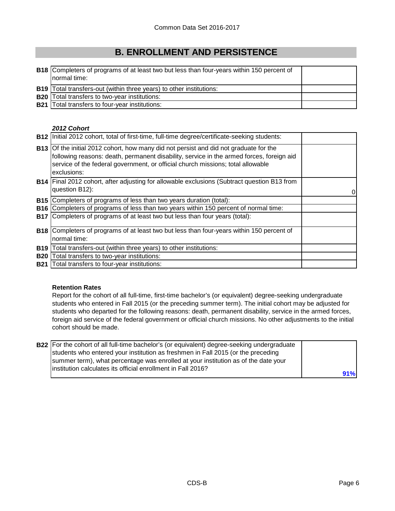| <b>B18</b> Completers of programs of at least two but less than four-years within 150 percent of<br>normal time: |  |
|------------------------------------------------------------------------------------------------------------------|--|
| <b>B19</b> Total transfers-out (within three years) to other institutions:                                       |  |
| <b>B20</b> Total transfers to two-year institutions:                                                             |  |
| <b>B21</b> Total transfers to four-year institutions:                                                            |  |

#### *2012 Cohort*

|            | B12   Initial 2012 cohort, total of first-time, full-time degree/certificate-seeking students:                                                                                                                                                                                             |   |
|------------|--------------------------------------------------------------------------------------------------------------------------------------------------------------------------------------------------------------------------------------------------------------------------------------------|---|
|            | <b>B13</b> Of the initial 2012 cohort, how many did not persist and did not graduate for the<br>following reasons: death, permanent disability, service in the armed forces, foreign aid<br>service of the federal government, or official church missions; total allowable<br>exclusions: |   |
|            | <b>B14</b> Final 2012 cohort, after adjusting for allowable exclusions (Subtract question B13 from<br>question B12):                                                                                                                                                                       | 0 |
|            | <b>B15</b> Completers of programs of less than two years duration (total):                                                                                                                                                                                                                 |   |
| <b>B16</b> | Completers of programs of less than two years within 150 percent of normal time:                                                                                                                                                                                                           |   |
| <b>B17</b> | Completers of programs of at least two but less than four years (total):                                                                                                                                                                                                                   |   |
| <b>B18</b> | Completers of programs of at least two but less than four-years within 150 percent of<br>normal time:                                                                                                                                                                                      |   |
| <b>B19</b> | Total transfers-out (within three years) to other institutions:                                                                                                                                                                                                                            |   |
| <b>B20</b> | Total transfers to two-year institutions:                                                                                                                                                                                                                                                  |   |
| <b>B21</b> | Total transfers to four-year institutions:                                                                                                                                                                                                                                                 |   |

#### **Retention Rates**

Report for the cohort of all full-time, first-time bachelor's (or equivalent) degree-seeking undergraduate students who entered in Fall 2015 (or the preceding summer term). The initial cohort may be adjusted for students who departed for the following reasons: death, permanent disability, service in the armed forces, foreign aid service of the federal government or official church missions. No other adjustments to the initial cohort should be made.

| <b>B22</b> For the cohort of all full-time bachelor's (or equivalent) degree-seeking undergraduate |     |
|----------------------------------------------------------------------------------------------------|-----|
| students who entered your institution as freshmen in Fall 2015 (or the preceding                   |     |
| summer term), what percentage was enrolled at your institution as of the date your                 |     |
| Institution calculates its official enrollment in Fall 2016?                                       |     |
|                                                                                                    | 91% |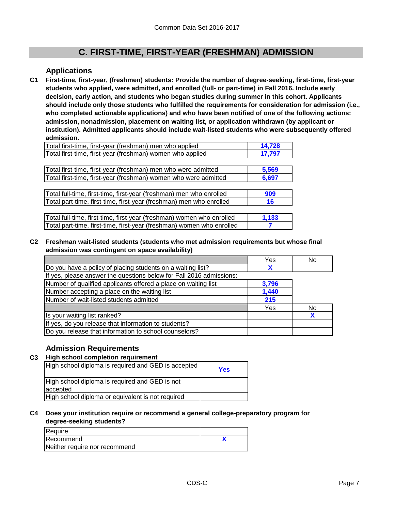#### **Applications**

**First-time, first-year, (freshmen) students: Provide the number of degree-seeking, first-time, first-year students who applied, were admitted, and enrolled (full- or part-time) in Fall 2016. Include early decision, early action, and students who began studies during summer in this cohort. Applicants should include only those students who fulfilled the requirements for consideration for admission (i.e., who completed actionable applications) and who have been notified of one of the following actions: admission, nonadmission, placement on waiting list, or application withdrawn (by applicant or institution). Admitted applicants should include wait-listed students who were subsequently offered admission. C1**

| Total first-time, first-year (freshman) men who applied   | 14.728 |
|-----------------------------------------------------------|--------|
| Total first-time, first-year (freshman) women who applied | 17.797 |

| Total first-time, first-year (freshman) men who were admitted   | 5.569 |
|-----------------------------------------------------------------|-------|
| Total first-time, first-year (freshman) women who were admitted | 6.697 |

| Total full-time, first-time, first-year (freshman) men who enrolled | 909 |
|---------------------------------------------------------------------|-----|
| Total part-time, first-time, first-year (freshman) men who enrolled |     |

| Total full-time, first-time, first-year (freshman) women who enrolled | 1.133 |
|-----------------------------------------------------------------------|-------|
| Total part-time, first-time, first-year (freshman) women who enrolled |       |

#### **C2 Freshman wait-listed students (students who met admission requirements but whose final admission was contingent on space availability)**

|                                                                     | Yes   | No  |
|---------------------------------------------------------------------|-------|-----|
| Do you have a policy of placing students on a waiting list?         | X     |     |
| If yes, please answer the questions below for Fall 2016 admissions: |       |     |
| Number of qualified applicants offered a place on waiting list      | 3,796 |     |
| Number accepting a place on the waiting list                        | 1,440 |     |
| Number of wait-listed students admitted                             | 215   |     |
|                                                                     | Yes   | No. |
| Is your waiting list ranked?                                        |       |     |
| If yes, do you release that information to students?                |       |     |
| Do you release that information to school counselors?               |       |     |

### **Admission Requirements**

#### **C3 High school completion requirement**

| High school diploma is required and GED is accepted | Yes |
|-----------------------------------------------------|-----|
| High school diploma is required and GED is not      |     |
| accepted                                            |     |
| High school diploma or equivalent is not required   |     |

#### **C4 Does your institution require or recommend a general college-preparatory program for degree-seeking students?**

| Require                       |  |
|-------------------------------|--|
| l Recommend                   |  |
| Neither require nor recommend |  |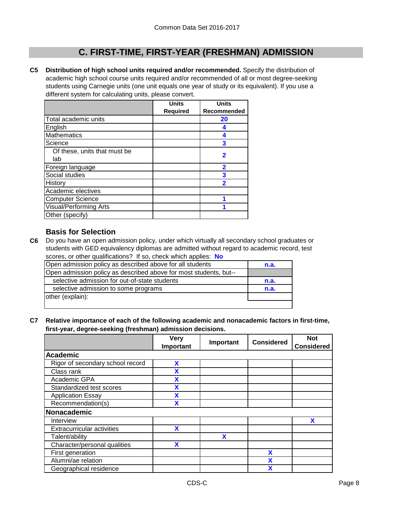**C5 Distribution of high school units required and/or recommended.** Specify the distribution of academic high school course units required and/or recommended of all or most degree-seeking students using Carnegie units (one unit equals one year of study or its equivalent). If you use a different system for calculating units, please convert.

|                               | <b>Units</b>    | <b>Units</b>            |
|-------------------------------|-----------------|-------------------------|
|                               | <b>Required</b> | Recommended             |
| Total academic units          |                 | 20                      |
| English                       |                 | 4                       |
| <b>Mathematics</b>            |                 | 4                       |
| Science                       |                 | 3                       |
| Of these, units that must be  |                 | 2                       |
| lab                           |                 |                         |
| Foreign language              |                 | $\overline{\mathbf{2}}$ |
| Social studies                |                 | 3                       |
| History                       |                 | $\overline{\mathbf{2}}$ |
| Academic electives            |                 |                         |
| <b>Computer Science</b>       |                 |                         |
| <b>Visual/Performing Arts</b> |                 |                         |
| Other (specify)               |                 |                         |

### **Basis for Selection**

**C6** Do you have an open admission policy, under which virtually all secondary school graduates or students with GED equivalency diplomas are admitted without regard to academic record, test scores, or other qualifications? If so, check which applies: **No**

| Open admission policy as described above for all students         | n.a. |
|-------------------------------------------------------------------|------|
| Open admission policy as described above for most students, but-- |      |
| selective admission for out-of-state students                     | n.a. |
| selective admission to some programs                              | n.a. |
| other (explain):                                                  |      |
|                                                                   |      |

**C7 Relative importance of each of the following academic and nonacademic factors in first-time, first-year, degree-seeking (freshman) admission decisions.**

|                                   | <b>Very</b> | Important | <b>Considered</b> | <b>Not</b>        |
|-----------------------------------|-------------|-----------|-------------------|-------------------|
|                                   | Important   |           |                   | <b>Considered</b> |
| <b>Academic</b>                   |             |           |                   |                   |
| Rigor of secondary school record  | X           |           |                   |                   |
| Class rank                        |             |           |                   |                   |
| Academic GPA                      | X           |           |                   |                   |
| Standardized test scores          | X           |           |                   |                   |
| <b>Application Essay</b>          | X           |           |                   |                   |
| Recommendation(s)                 | X           |           |                   |                   |
| Nonacademic                       |             |           |                   |                   |
| Interview                         |             |           |                   | x                 |
| <b>Extracurricular activities</b> | X           |           |                   |                   |
| Talent/ability                    |             | X         |                   |                   |
| Character/personal qualities      | X           |           |                   |                   |
| First generation                  |             |           | χ                 |                   |
| Alumni/ae relation                |             |           |                   |                   |
| Geographical residence            |             |           | χ                 |                   |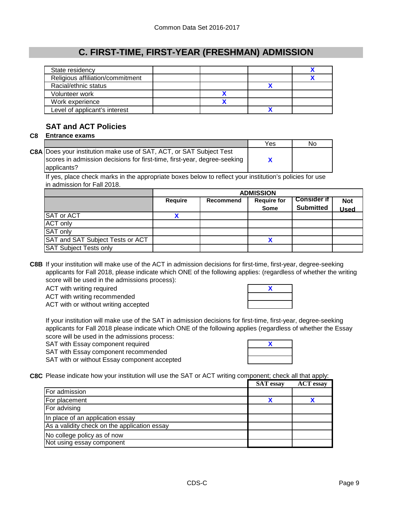| State residency                  |  |  |
|----------------------------------|--|--|
| Religious affiliation/commitment |  |  |
| Racial/ethnic status             |  |  |
| Volunteer work                   |  |  |
| Work experience                  |  |  |
| Level of applicant's interest    |  |  |

### **SAT and ACT Policies**

### **C8 Entrance exams**

|                                                                          | Yes | No |
|--------------------------------------------------------------------------|-----|----|
| C8A Does your institution make use of SAT, ACT, or SAT Subject Test      |     |    |
| scores in admission decisions for first-time, first-year, degree-seeking |     |    |
| applicants?                                                              |     |    |

If yes, place check marks in the appropriate boxes below to reflect your institution's policies for use in admission for Fall 2018.

|                                  | <b>ADMISSION</b> |           |                                   |                                        |                           |
|----------------------------------|------------------|-----------|-----------------------------------|----------------------------------------|---------------------------|
|                                  | <b>Require</b>   | Recommend | <b>Require for</b><br><b>Some</b> | <b>Consider if</b><br><b>Submitted</b> | <b>Not</b><br><b>Used</b> |
| <b>SAT or ACT</b>                |                  |           |                                   |                                        |                           |
| <b>ACT only</b>                  |                  |           |                                   |                                        |                           |
| SAT only                         |                  |           |                                   |                                        |                           |
| SAT and SAT Subject Tests or ACT |                  |           |                                   |                                        |                           |
| <b>SAT Subject Tests only</b>    |                  |           |                                   |                                        |                           |

**C8B** If your institution will make use of the ACT in admission decisions for first-time, first-year, degree-seeking applicants for Fall 2018, please indicate which ONE of the following applies: (regardless of whether the writing score will be used in the admissions process):

ACT with writing required

ACT with writing recommended

ACT with or without writing accepted

If your institution will make use of the SAT in admission decisions for first-time, first-year, degree-seeking applicants for Fall 2018 please indicate which ONE of the following applies (regardless of whether the Essay score will be used in the admissions process:

- SAT with Essay component required
- SAT with Essay component recommended

SAT with or without Essay component accepted



**X**

**C8C** Please indicate how your institution will use the SAT or ACT writing component; check all that apply:

|                                              | <b>SAT</b> essay | <b>ACT</b> essay |
|----------------------------------------------|------------------|------------------|
| For admission                                |                  |                  |
| For placement                                |                  |                  |
| For advising                                 |                  |                  |
| In place of an application essay             |                  |                  |
| As a validity check on the application essay |                  |                  |
| No college policy as of now                  |                  |                  |
| Not using essay component                    |                  |                  |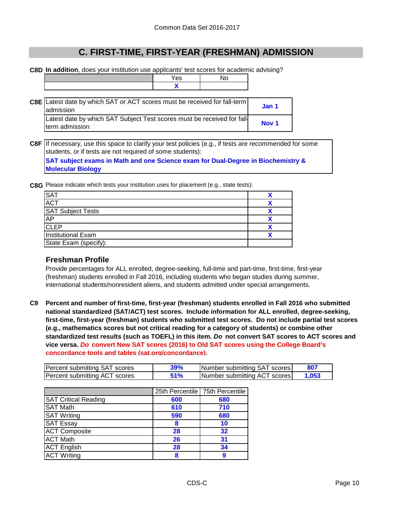No

**C8D In addition**, does your institution use applicants' test scores for academic advising?

| Yes |  |
|-----|--|
|     |  |

| C8E Latest date by which SAT or ACT scores must be received for fall-term<br>admission   | Jan 1            |
|------------------------------------------------------------------------------------------|------------------|
| Latest date by which SAT Subject Test scores must be received for fall<br>term admission | Nov <sub>1</sub> |

**C8F** If necessary, use this space to clarify your test policies (e.g., if tests are recommended for some students, or if tests are not required of some students):

**SAT subject exams in Math and one Science exam for Dual-Degree in Biochemistry & Molecular Biology**

**C8G** Please indicate which tests your institution uses for placement (e.g., state tests):

| <b>SAT</b>                |  |
|---------------------------|--|
| <b>ACT</b>                |  |
| <b>SAT Subject Tests</b>  |  |
| AP                        |  |
| <b>CLEP</b>               |  |
| <b>Institutional Exam</b> |  |
| State Exam (specify):     |  |

#### **Freshman Profile**

Provide percentages for ALL enrolled, degree-seeking, full-time and part-time, first-time, first-year (freshman) students enrolled in Fall 2016, including students who began studies during summer, international students/nonresident aliens, and students admitted under special arrangements.

**C9 Percent and number of first-time, first-year (freshman) students enrolled in Fall 2016 who submitted national standardized (SAT/ACT) test scores. Include information for ALL enrolled, degree-seeking, first-time, first-year (freshman) students who submitted test scores. Do not include partial test scores (e.g., mathematics scores but not critical reading for a category of students) or combine other standardized test results (such as TOEFL) in this item.** *Do* **not convert SAT scores to ACT scores and vice versa.** *Do* **convert New SAT scores (2016) to Old SAT scores using the College Board's concordance tools and tables (sat.org/concordance).**

| Percent submitting SAT scores | 39% | Number submitting SAT scores |       |
|-------------------------------|-----|------------------------------|-------|
| Percent submitting ACT scores | 51% | Number submitting ACT scores | 1.053 |

|                             |     | 25th Percentile 75th Percentile |
|-----------------------------|-----|---------------------------------|
| <b>SAT Critical Reading</b> | 600 | 680                             |
| <b>SAT Math</b>             | 610 | 710                             |
| <b>SAT Writing</b>          | 590 | 680                             |
| <b>SAT Essay</b>            | 8   | 10                              |
| <b>ACT Composite</b>        | 28  | 32                              |
| <b>ACT Math</b>             | 26  | 31                              |
| <b>ACT English</b>          | 28  | 34                              |
| <b>ACT Writing</b>          | 8   | 9                               |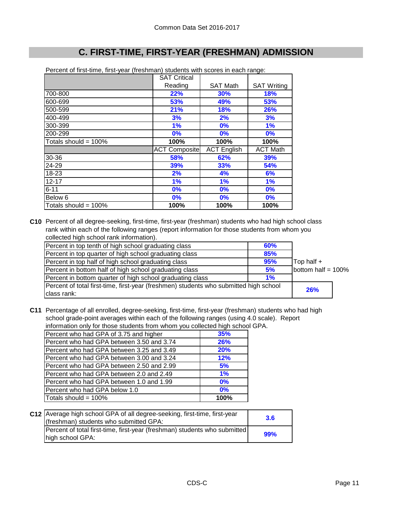|                         | <b>SAT Critical</b>  |                    |                    |
|-------------------------|----------------------|--------------------|--------------------|
|                         | Reading              | <b>SAT Math</b>    | <b>SAT Writing</b> |
| 700-800                 | 22%                  | 30%                | 18%                |
| 600-699                 | 53%                  | 49%                | 53%                |
| 500-599                 | 21%                  | <b>18%</b>         | 26%                |
| 400-499                 | 3%                   | 2%                 | 3%                 |
| 300-399                 | 1%                   | 0%                 | 1%                 |
| 200-299                 | 0%                   | 0%                 | $0\%$              |
| Totals should = $100\%$ | 100%                 | 100%               | 100%               |
|                         | <b>ACT Composite</b> | <b>ACT English</b> | <b>ACT Math</b>    |
| 30-36                   | 58%                  | 62%                | <b>39%</b>         |
| 24-29                   | 39%                  | 33%                | 54%                |
| 18-23                   | 2%                   | 4%                 | 6%                 |
| $12 - 17$               | 1%                   | 1%                 | 1%                 |
| $6 - 11$                | 0%                   | 0%                 | 0%                 |
| Below 6                 | 0%                   | 0%                 | 0%                 |
| Totals should = 100%    | 100%                 | 100%               | 100%               |

Percent of first-time, first-year (freshman) students with scores in each range:

**C10** Percent of all degree-seeking, first-time, first-year (freshman) students who had high school class rank within each of the following ranges (report information for those students from whom you collected high school rank information).

| Percent in top tenth of high school graduating class                                  | <b>60%</b> |                       |  |
|---------------------------------------------------------------------------------------|------------|-----------------------|--|
| Percent in top quarter of high school graduating class                                | 85%        |                       |  |
| Percent in top half of high school graduating class                                   | 95%        | Top half +            |  |
| Percent in bottom half of high school graduating class                                | 5%         | bottom half = $100\%$ |  |
| Percent in bottom quarter of high school graduating class                             | $1\%$      |                       |  |
| Percent of total first-time, first-year (freshmen) students who submitted high school |            |                       |  |
| class rank:                                                                           |            | 26%                   |  |

**C11** Percentage of all enrolled, degree-seeking, first-time, first-year (freshman) students who had high school grade-point averages within each of the following ranges (using 4.0 scale). Report information only for those students from whom you collected high school GPA.

| Percent who had GPA of 3.75 and higher    | 35%        |
|-------------------------------------------|------------|
| Percent who had GPA between 3.50 and 3.74 | <b>26%</b> |
| Percent who had GPA between 3.25 and 3.49 | 20%        |
| Percent who had GPA between 3.00 and 3.24 | 12%        |
| Percent who had GPA between 2.50 and 2.99 | 5%         |
| Percent who had GPA between 2.0 and 2.49  | 1%         |
| Percent who had GPA between 1.0 and 1.99  | $0\%$      |
| Percent who had GPA below 1.0             | 0%         |
| Totals should = 100%                      | 100%       |

| C12 Average high school GPA of all degree-seeking, first-time, first-year<br>(freshman) students who submitted GPA: | 3.6 |
|---------------------------------------------------------------------------------------------------------------------|-----|
| Percent of total first-time, first-year (freshman) students who submitted<br>high school GPA:                       | 99% |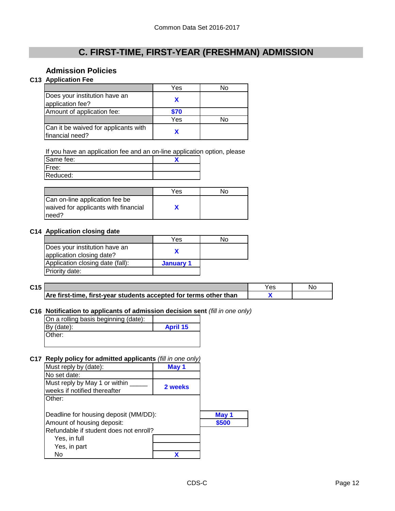### **Admission Policies**

### **C13 Application Fee**

|                                                         | Yes  | N٥ |
|---------------------------------------------------------|------|----|
| Does your institution have an<br>application fee?       |      |    |
| Amount of application fee:                              | \$70 |    |
|                                                         | Yes  | N٥ |
| Can it be waived for applicants with<br>financial need? |      |    |

If you have an application fee and an on-line application option, please

| Same fee: |  |
|-----------|--|
| IFree:    |  |
| Reduced:  |  |

|                                                                                  | Yes | N۵ |
|----------------------------------------------------------------------------------|-----|----|
| Can on-line application fee be<br>waived for applicants with financial<br>Ineed? |     |    |

#### **C14 Application closing date**

|                                  | Yes       | No |
|----------------------------------|-----------|----|
| Does your institution have an    |           |    |
| application closing date?        |           |    |
| Application closing date (fall): | January 1 |    |
| <b>Priority date:</b>            |           |    |

| C15 |                                                                   | Yes | No |
|-----|-------------------------------------------------------------------|-----|----|
|     | Are first-time, first-year students accepted for terms other than |     |    |

#### **C16 Notification to applicants of admission decision sent** *(fill in one only)*

| On a rolling basis beginning (date): |                 |
|--------------------------------------|-----------------|
| $By$ (date):                         | <b>April 15</b> |
| Other:                               |                 |

#### **C17 Reply policy for admitted applicants** *(fill in one only)*

| Must reply by (date):                                         | May 1   |       |
|---------------------------------------------------------------|---------|-------|
| No set date:                                                  |         |       |
| Must reply by May 1 or within<br>weeks if notified thereafter | 2 weeks |       |
| Other:                                                        |         |       |
| Deadline for housing deposit (MM/DD):                         |         | May 1 |
| Amount of housing deposit:                                    |         | \$500 |
| Refundable if student does not enroll?                        |         |       |
| Yes, in full                                                  |         |       |
| Yes, in part                                                  |         |       |
| No                                                            |         |       |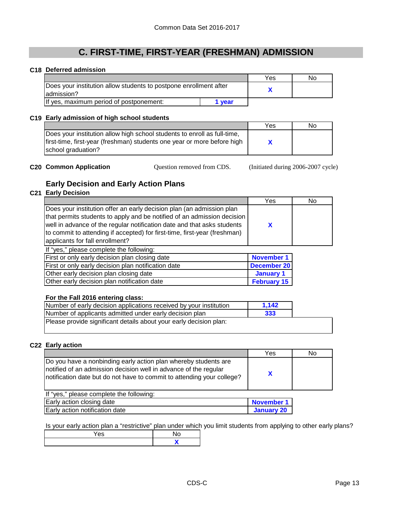#### **C18 Deferred admission**

|                                                                                  |      | Yes | No |
|----------------------------------------------------------------------------------|------|-----|----|
| Does your institution allow students to postpone enrollment after<br>ladmission? |      |     |    |
| If yes, maximum period of postponement:                                          | vear |     |    |

#### **C19 Early admission of high school students**

|                                                                          | Yes | No |
|--------------------------------------------------------------------------|-----|----|
| Does your institution allow high school students to enroll as full-time, |     |    |
| first-time, first-year (freshman) students one year or more before high  |     |    |
| school graduation?                                                       |     |    |

**C20 Common Application** Cuestion removed from CDS. (Initiated during 2006-2007 cycle)

### **Early Decision and Early Action Plans**

### **C21 Early Decision**

|                                                                                                                                                                                                                                                                                                                                             | Yes                | No |
|---------------------------------------------------------------------------------------------------------------------------------------------------------------------------------------------------------------------------------------------------------------------------------------------------------------------------------------------|--------------------|----|
| Does your institution offer an early decision plan (an admission plan<br>that permits students to apply and be notified of an admission decision<br>well in advance of the regular notification date and that asks students<br>to commit to attending if accepted) for first-time, first-year (freshman)<br>applicants for fall enrollment? | X                  |    |
| If "yes," please complete the following:                                                                                                                                                                                                                                                                                                    |                    |    |
| First or only early decision plan closing date                                                                                                                                                                                                                                                                                              | <b>November 1</b>  |    |
| First or only early decision plan notification date                                                                                                                                                                                                                                                                                         | <b>December 20</b> |    |
| Other early decision plan closing date                                                                                                                                                                                                                                                                                                      | January 1          |    |
| Other early decision plan notification date                                                                                                                                                                                                                                                                                                 | <b>February 15</b> |    |
|                                                                                                                                                                                                                                                                                                                                             |                    |    |

#### **For the Fall 2016 entering class:**

| Number of early decision applications received by your institution | 1.142 |  |
|--------------------------------------------------------------------|-------|--|
| Number of applicants admitted under early decision plan            | 333   |  |
| Please provide significant details about your early decision plan: |       |  |
|                                                                    |       |  |

#### **C22 Early action**

|                                                                                                                                                                                                               | Yes | No |
|---------------------------------------------------------------------------------------------------------------------------------------------------------------------------------------------------------------|-----|----|
| Do you have a nonbinding early action plan whereby students are<br>notified of an admission decision well in advance of the regular<br>notification date but do not have to commit to attending your college? |     |    |
| If "yes," please complete the following:                                                                                                                                                                      |     |    |

| Early action closing date      | <b>November 1</b> |
|--------------------------------|-------------------|
| Early action notification date | January 20        |

Is your early action plan a "restrictive" plan under which you limit students from applying to other early plans?

| es |  |
|----|--|
|    |  |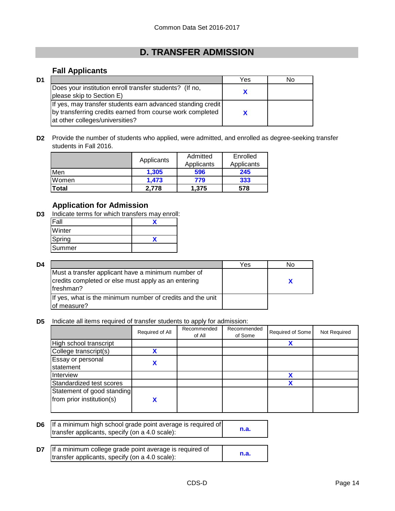## **D. TRANSFER ADMISSION**

### **Fall Applicants**

| D1 |                                                                                                                                                             | Yes | N٥ |
|----|-------------------------------------------------------------------------------------------------------------------------------------------------------------|-----|----|
|    | Does your institution enroll transfer students? (If no,<br>please skip to Section E)                                                                        |     |    |
|    | If yes, may transfer students earn advanced standing credit<br>by transferring credits earned from course work completed<br>at other colleges/universities? |     |    |

**D2** Provide the number of students who applied, were admitted, and enrolled as degree-seeking transfer students in Fall 2016.

|       |            | Admitted   | Enrolled   |  |
|-------|------------|------------|------------|--|
|       | Applicants | Applicants | Applicants |  |
| Men   | 1.305      | 596        | 245        |  |
| Women | 1.473      | 779        | 333        |  |
| Total | 2.778      | 1.375      | 578        |  |

### **Application for Admission**

**D3** Indicate terms for which transfers may enroll:

| Winter |  |
|--------|--|
| Spring |  |
| Summer |  |

| D4 |                                                                                                                         | Yes | N٥ |
|----|-------------------------------------------------------------------------------------------------------------------------|-----|----|
|    | Must a transfer applicant have a minimum number of<br>credits completed or else must apply as an entering<br>Ifreshman? |     |    |
|    | If yes, what is the minimum number of credits and the unit<br>lof measure?                                              |     |    |

**D5** Indicate all items required of transfer students to apply for admission:

|                            | Required of All | Recommended<br>of All | Recommended<br>of Some | Required of Some | Not Required |
|----------------------------|-----------------|-----------------------|------------------------|------------------|--------------|
| High school transcript     |                 |                       |                        |                  |              |
| College transcript(s)      | v               |                       |                        |                  |              |
| Essay or personal          |                 |                       |                        |                  |              |
| statement                  |                 |                       |                        |                  |              |
| Interview                  |                 |                       |                        |                  |              |
| Standardized test scores   |                 |                       |                        |                  |              |
| Statement of good standing |                 |                       |                        |                  |              |
| from prior institution(s)  |                 |                       |                        |                  |              |

| D6 I | If a minimum high school grade point average is required of<br>transfer applicants, specify (on a 4.0 scale): |      |
|------|---------------------------------------------------------------------------------------------------------------|------|
| D7   | If a minimum college grade point average is required of<br>transfer applicants, specify (on a 4.0 scale):     | n.a. |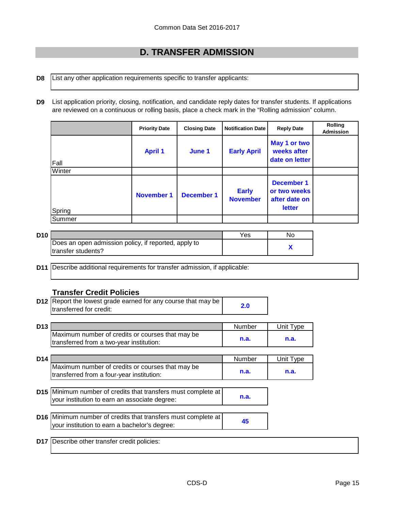### **D. TRANSFER ADMISSION**

**D8** List any other application requirements specific to transfer applicants:

**D9** List application priority, closing, notification, and candidate reply dates for transfer students. If applications are reviewed on a continuous or rolling basis, place a check mark in the "Rolling admission" column.

|        | <b>Priority Date</b> | <b>Closing Date</b> | <b>Notification Date</b>        | <b>Reply Date</b>                                                   | <b>Rolling</b><br><b>Admission</b> |
|--------|----------------------|---------------------|---------------------------------|---------------------------------------------------------------------|------------------------------------|
| Fall   | <b>April 1</b>       | June 1              | <b>Early April</b>              | May 1 or two<br>weeks after<br>date on letter                       |                                    |
| Winter |                      |                     |                                 |                                                                     |                                    |
| Spring | <b>November 1</b>    | <b>December 1</b>   | <b>Early</b><br><b>November</b> | <b>December 1</b><br>or two weeks<br>after date on<br><b>letter</b> |                                    |
| Summer |                      |                     |                                 |                                                                     |                                    |

| D <sub>10</sub> |                                                      | Yes | No |
|-----------------|------------------------------------------------------|-----|----|
|                 | Does an open admission policy, if reported, apply to |     |    |
|                 | Itransfer students?                                  |     |    |

**D11** Describe additional requirements for transfer admission, if applicable:

#### **Transfer Credit Policies**

| <b>D12</b> Report the lowest grade earned for any course that may be |     |
|----------------------------------------------------------------------|-----|
| transferred for credit:                                              | 2.0 |

| D <sub>13</sub> |                                                  | Number | Unit Tvpe |
|-----------------|--------------------------------------------------|--------|-----------|
|                 | Maximum number of credits or courses that may be |        |           |
|                 | transferred from a two-year institution:         | n.a.   | n.a.      |

| D <sub>14</sub> |                                                  | Number | Unit Tvpe |
|-----------------|--------------------------------------------------|--------|-----------|
|                 | Maximum number of credits or courses that may be | n.a.   | n.a.      |
|                 | transferred from a four-year institution:        |        |           |

- **D15** Minimum number of credits that transfers must complete at **n.a.** your institution to earn an associate degree:
- **D16** Minimum number of credits that transfers must complete at  $\frac{45}{100}$ your institution to earn a bachelor's degree:

**D17** Describe other transfer credit policies: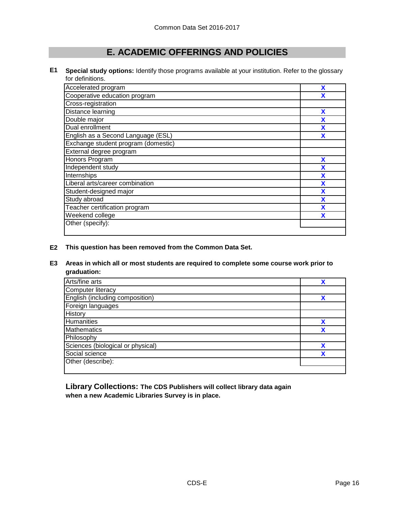### **E. ACADEMIC OFFERINGS AND POLICIES**

**E1 Special study options:** Identify those programs available at your institution. Refer to the glossary for definitions.

| Accelerated program                 | X |
|-------------------------------------|---|
| Cooperative education program       | x |
| Cross-registration                  |   |
| Distance learning                   | X |
| Double major                        | x |
| Dual enrollment                     |   |
| English as a Second Language (ESL)  | X |
| Exchange student program (domestic) |   |
| External degree program             |   |
| Honors Program                      | X |
| Independent study                   | X |
| Internships                         | X |
| Liberal arts/career combination     | X |
| Student-designed major              | X |
| Study abroad                        | X |
| Teacher certification program       | X |
| Weekend college                     |   |
| Other (specify):                    |   |
|                                     |   |

**E2 This question has been removed from the Common Data Set.**

#### **E3 Areas in which all or most students are required to complete some course work prior to graduation:**

| Arts/fine arts                    |   |
|-----------------------------------|---|
| <b>Computer literacy</b>          |   |
| English (including composition)   | χ |
| Foreign languages                 |   |
| History                           |   |
| Humanities                        |   |
| <b>Mathematics</b>                |   |
| Philosophy                        |   |
| Sciences (biological or physical) |   |
| Social science                    | v |
| Other (describe):                 |   |

**Library Collections: The CDS Publishers will collect library data again when a new Academic Libraries Survey is in place.**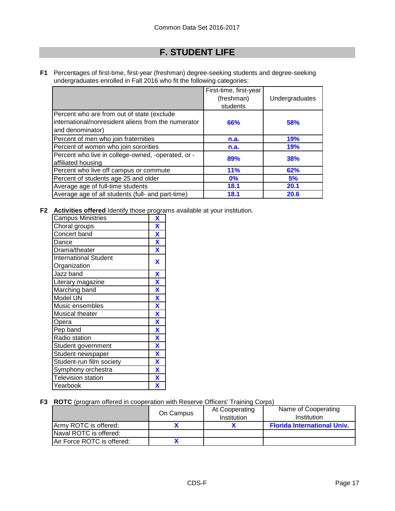## **F. STUDENT LIFE**

**F1** Percentages of first-time, first-year (freshman) degree-seeking students and degree-seeking undergraduates enrolled in Fall 2016 who fit the following categories:

|                                                                                                                       | First-time, first-year<br>(freshman)<br>students | Undergraduates |
|-----------------------------------------------------------------------------------------------------------------------|--------------------------------------------------|----------------|
| Percent who are from out of state (exclude<br>international/nonresident aliens from the numerator<br>and denominator) | 66%                                              | 58%            |
| Percent of men who join fraternities                                                                                  | n.a.                                             | 19%            |
| Percent of women who join sororities                                                                                  | n.a.                                             | <b>19%</b>     |
| Percent who live in college-owned, -operated, or -<br>affiliated housing                                              | 89%                                              | 38%            |
| Percent who live off campus or commute                                                                                | 11%                                              | 62%            |
| Percent of students age 25 and older                                                                                  | $0\%$                                            | 5%             |
| Average age of full-time students                                                                                     | 18.1                                             | 20.1           |
| Average age of all students (full- and part-time)                                                                     | 18.1                                             | 20.6           |

**F2 Activities offered** Identify those programs available at your institution.

| <b>Campus Ministries</b>     | X                         |
|------------------------------|---------------------------|
| Choral groups                | $\overline{\mathbf{X}}$   |
| Concert band                 | $\overline{\mathbf{X}}$   |
| Dance                        | $\overline{\mathbf{X}}$   |
| Drama/theater                | $\overline{\mathbf{X}}$   |
| <b>International Student</b> | X                         |
| Organization                 |                           |
| Jazz band                    | X                         |
| Literary magazine            | $\boldsymbol{\mathsf{X}}$ |
| Marching band                | $\overline{\mathbf{X}}$   |
| Model UN                     | $\overline{\mathbf{X}}$   |
| Music ensembles              | $\overline{\mathbf{X}}$   |
| <b>Musical theater</b>       | $\overline{\mathbf{X}}$   |
| Opera                        | $\overline{\mathbf{X}}$   |
| Pep band                     | X                         |
| Radio station                | $\overline{\mathbf{X}}$   |
| Student government           | $\overline{\mathbf{X}}$   |
| Student newspaper            | $\overline{\mathbf{X}}$   |
| Student-run film society     | $\overline{\mathbf{X}}$   |
| Symphony orchestra           | $\overline{\mathbf{X}}$   |
| <b>Television station</b>    | X                         |
| Yearbook                     | X                         |

#### **F3 ROTC** (program offered in cooperation with Reserve Officers' Training Corps)

|                            | On Campus | At Cooperating<br>Institution | Name of Cooperating<br>Institution |
|----------------------------|-----------|-------------------------------|------------------------------------|
| Army ROTC is offered:      |           |                               | <b>Florida International Univ.</b> |
| Naval ROTC is offered:     |           |                               |                                    |
| Air Force ROTC is offered: |           |                               |                                    |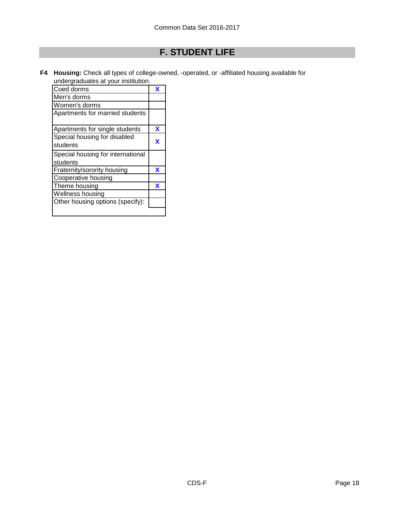# **F. STUDENT LIFE**

**F4 Housing:** Check all types of college-owned, -operated, or -affiliated housing available for undergraduates at your institution.

| Coed dorms                        | х |
|-----------------------------------|---|
| Men's dorms                       |   |
| Women's dorms                     |   |
| Apartments for married students   |   |
| Apartments for single students    | x |
| Special housing for disabled      |   |
| students                          | x |
| Special housing for international |   |
| students                          |   |
| Fraternity/sorority housing       | x |
| Cooperative housing               |   |
| Theme housing                     | x |
| Wellness housing                  |   |
| Other housing options (specify):  |   |
|                                   |   |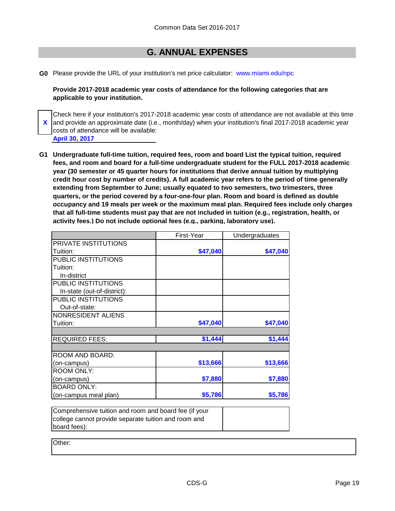### **G. ANNUAL EXPENSES**

**G0** Please provide the URL of your institution's net price calculator: www.miami.edu/npc

**Provide 2017-2018 academic year costs of attendance for the following categories that are applicable to your institution.**

**X** Check here if your institution's 2017-2018 academic year costs of attendance are not available at this time and provide an approximate date (i.e., month/day) when your institution's final 2017-2018 academic year costs of attendance will be available:

- **April 30, 2017**
- **G1 Undergraduate full-time tuition, required fees, room and board List the typical tuition, required fees, and room and board for a full-time undergraduate student for the FULL 2017-2018 academic year (30 semester or 45 quarter hours for institutions that derive annual tuition by multiplying credit hour cost by number of credits). A full academic year refers to the period of time generally extending from September to June; usually equated to two semesters, two trimesters, three quarters, or the period covered by a four-one-four plan. Room and board is defined as double occupancy and 19 meals per week or the maximum meal plan. Required fees include only charges that all full-time students must pay that are not included in tuition (e.g., registration, health, or activity fees.) Do not include optional fees (e.g., parking, laboratory use).**

|                             | First-Year | Undergraduates |
|-----------------------------|------------|----------------|
| <b>PRIVATE INSTITUTIONS</b> |            |                |
| Tuition:                    | \$47,040   | \$47,040       |
| PUBLIC INSTITUTIONS         |            |                |
| Tuition:                    |            |                |
| In-district                 |            |                |
| PUBLIC INSTITUTIONS         |            |                |
| In-state (out-of-district): |            |                |
| PUBLIC INSTITUTIONS         |            |                |
| Out-of-state:               |            |                |
| NONRESIDENT ALIENS          |            |                |
| Tuition:                    | \$47,040   | \$47,040       |
|                             |            |                |
| <b>REQUIRED FEES:</b>       | \$1,444    | \$1,444        |
|                             |            |                |
| ROOM AND BOARD:             |            |                |
| (on-campus)                 | \$13,666   | \$13,666       |
| <b>ROOM ONLY:</b>           |            |                |
| (on-campus)                 | \$7,880    | \$7,880        |
| <b>BOARD ONLY:</b>          |            |                |
| (on-campus meal plan)       | \$5,786    | \$5,786        |

Comprehensive tuition and room and board fee (if your college cannot provide separate tuition and room and board fees):

Other: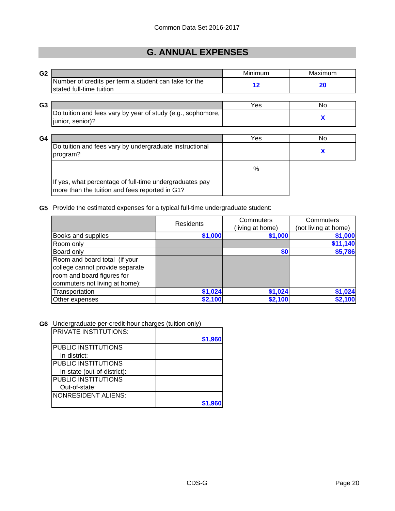## **G. ANNUAL EXPENSES**

| G <sub>2</sub> |                                                                                   | Minimum | Maximum |
|----------------|-----------------------------------------------------------------------------------|---------|---------|
|                | Number of credits per term a student can take for the<br>stated full-time tuition | 12      | 20      |
| G <sub>3</sub> |                                                                                   | Yes     | No.     |
|                | Do tuition and fees vary by year of study (e.g., sophomore,<br>junior, senior)?   |         | X       |
| G4             |                                                                                   | Yes     | No.     |
|                | Do tuition and fees vary by undergraduate instructional<br>program?               |         | X       |
|                |                                                                                   | %       |         |
|                | If yes, what percentage of full-time undergraduates pay                           |         |         |

#### **G5** Provide the estimated expenses for a typical full-time undergraduate student:

|                                 | Residents | Commuters        | Commuters            |
|---------------------------------|-----------|------------------|----------------------|
|                                 |           | (living at home) | (not living at home) |
| Books and supplies              | \$1,000   | \$1,000          | \$1,000              |
| Room only                       |           |                  | \$11,140             |
| Board only                      |           | \$0              | \$5,786              |
| Room and board total (if your   |           |                  |                      |
| college cannot provide separate |           |                  |                      |
| room and board figures for      |           |                  |                      |
| commuters not living at home):  |           |                  |                      |
| Transportation                  | \$1,024   | \$1,024          | \$1,024              |
| Other expenses                  | \$2,100   | \$2,100          | \$2,100              |

#### **G6** Undergraduate per-credit-hour charges (tuition only)

more than the tuition and fees reported in G1?

| IPRIVATE INSTITUTIONS:      |         |
|-----------------------------|---------|
|                             | \$1,960 |
| <b>PUBLIC INSTITUTIONS</b>  |         |
| In-district:                |         |
| <b>PUBLIC INSTITUTIONS</b>  |         |
| In-state (out-of-district): |         |
| <b>PUBLIC INSTITUTIONS</b>  |         |
| Out-of-state:               |         |
| NONRESIDENT ALIENS:         |         |
|                             |         |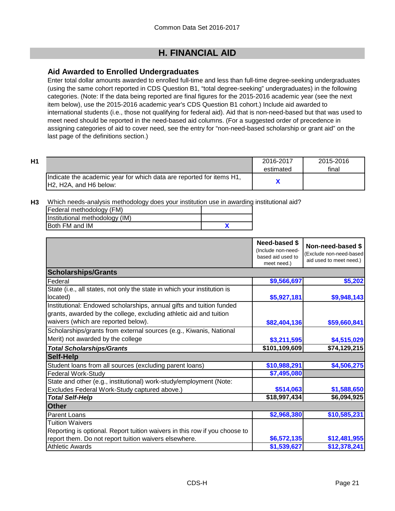### **Aid Awarded to Enrolled Undergraduates**

Enter total dollar amounts awarded to enrolled full-time and less than full-time degree-seeking undergraduates (using the same cohort reported in CDS Question B1, "total degree-seeking" undergraduates) in the following categories. (Note: If the data being reported are final figures for the 2015-2016 academic year (see the next item below), use the 2015-2016 academic year's CDS Question B1 cohort.) Include aid awarded to international students (i.e., those not qualifying for federal aid). Aid that is non-need-based but that was used to meet need should be reported in the need-based aid columns. (For a suggested order of precedence in assigning categories of aid to cover need, see the entry for "non-need-based scholarship or grant aid" on the last page of the definitions section.)

| H1 |                                                                                                                                      | 2016-2017<br>estimated | 2015-2016<br>final |
|----|--------------------------------------------------------------------------------------------------------------------------------------|------------------------|--------------------|
|    | Indicate the academic year for which data are reported for items H1,<br>H <sub>2</sub> , H <sub>2</sub> A, and H <sub>6</sub> below: |                        |                    |

**H3** Which needs-analysis methodology does your institution use in awarding institutional aid?

| Federal methodology (FM)       |  |
|--------------------------------|--|
| Institutional methodology (IM) |  |
| <b>Both FM and IM</b>          |  |

|                                                                                                                                                                                   | <b>Need-based \$</b><br>(Include non-need-<br>based aid used to<br>meet need.) | Non-need-based \$<br>Exclude non-need-based<br>aid used to meet need.) |
|-----------------------------------------------------------------------------------------------------------------------------------------------------------------------------------|--------------------------------------------------------------------------------|------------------------------------------------------------------------|
| <b>Scholarships/Grants</b>                                                                                                                                                        |                                                                                |                                                                        |
| Federal                                                                                                                                                                           | \$9,566,697                                                                    | \$5,202                                                                |
| State (i.e., all states, not only the state in which your institution is<br>located)                                                                                              | \$5,927,181                                                                    | \$9,948,143                                                            |
| Institutional: Endowed scholarships, annual gifts and tuition funded<br>grants, awarded by the college, excluding athletic aid and tuition<br>waivers (which are reported below). | \$82,404,136                                                                   | \$59,660,841                                                           |
| Scholarships/grants from external sources (e.g., Kiwanis, National<br>Merit) not awarded by the college                                                                           | \$3,211,595                                                                    | \$4,515,029                                                            |
| <b>Total Scholarships/Grants</b>                                                                                                                                                  | \$101,109,609                                                                  | \$74,129,215                                                           |
| <b>Self-Help</b>                                                                                                                                                                  |                                                                                |                                                                        |
| Student loans from all sources (excluding parent loans)                                                                                                                           | \$10,988,291                                                                   | \$4,506,275                                                            |
| <b>Federal Work-Study</b>                                                                                                                                                         | \$7,495,080                                                                    |                                                                        |
| State and other (e.g., institutional) work-study/employment (Note:                                                                                                                |                                                                                |                                                                        |
| Excludes Federal Work-Study captured above.)                                                                                                                                      | \$514,063                                                                      | \$1,588,650                                                            |
| <b>Total Self-Help</b>                                                                                                                                                            | \$18,997,434                                                                   | \$6,094,925                                                            |
| <b>Other</b>                                                                                                                                                                      |                                                                                |                                                                        |
| Parent Loans                                                                                                                                                                      | \$2,968,380                                                                    | \$10,585,231                                                           |
| <b>Tuition Waivers</b><br>Reporting is optional. Report tuition waivers in this row if you choose to                                                                              |                                                                                |                                                                        |
| report them. Do not report tuition waivers elsewhere.                                                                                                                             | \$6,572,135                                                                    | \$12,481,955                                                           |
| <b>Athletic Awards</b>                                                                                                                                                            | \$1,539,627                                                                    | \$12,378,241                                                           |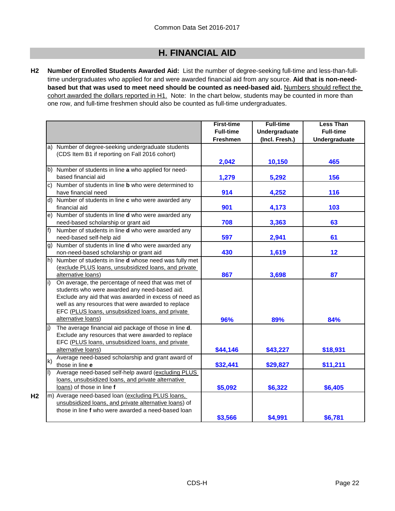**H2 Number of Enrolled Students Awarded Aid:** List the number of degree-seeking full-time and less-than-fulltime undergraduates who applied for and were awarded financial aid from any source. **Aid that is non-needbased but that was used to meet need should be counted as need-based aid.** Numbers should reflect the cohort awarded the dollars reported in H1. Note: In the chart below, students may be counted in more than one row, and full-time freshmen should also be counted as full-time undergraduates.

|                                                                                                                                                                                                                                                                                              | <b>First-time</b><br><b>Full-time</b> | <b>Full-time</b><br>Undergraduate | <b>Less Than</b><br><b>Full-time</b> |
|----------------------------------------------------------------------------------------------------------------------------------------------------------------------------------------------------------------------------------------------------------------------------------------------|---------------------------------------|-----------------------------------|--------------------------------------|
|                                                                                                                                                                                                                                                                                              | <b>Freshmen</b>                       | (Incl. Fresh.)                    | Undergraduate                        |
| a) Number of degree-seeking undergraduate students<br>(CDS Item B1 if reporting on Fall 2016 cohort)                                                                                                                                                                                         |                                       |                                   |                                      |
|                                                                                                                                                                                                                                                                                              | 2,042                                 | 10,150                            | 465                                  |
| b) Number of students in line a who applied for need-<br>based financial aid                                                                                                                                                                                                                 | 1,279                                 | 5,292                             | 156                                  |
| c) Number of students in line <b>b</b> who were determined to<br>have financial need                                                                                                                                                                                                         | 914                                   | 4,252                             | 116                                  |
| d) Number of students in line c who were awarded any<br>financial aid                                                                                                                                                                                                                        | 901                                   | 4,173                             | 103                                  |
| e) Number of students in line d who were awarded any<br>need-based scholarship or grant aid                                                                                                                                                                                                  | 708                                   | 3,363                             | 63                                   |
| $f$ ) Number of students in line <b>d</b> who were awarded any<br>need-based self-help aid                                                                                                                                                                                                   | 597                                   | 2,941                             | 61                                   |
| g) Number of students in line d who were awarded any<br>non-need-based scholarship or grant aid                                                                                                                                                                                              | 430                                   | 1,619                             | 12                                   |
| h) Number of students in line d whose need was fully met<br>(exclude PLUS loans, unsubsidized loans, and private<br>alternative loans)                                                                                                                                                       | 867                                   | 3,698                             | 87                                   |
| On average, the percentage of need that was met of<br>students who were awarded any need-based aid.<br>Exclude any aid that was awarded in excess of need as<br>well as any resources that were awarded to replace<br>EFC (PLUS loans, unsubsidized loans, and private<br>alternative loans) | 96%                                   | 89%                               | 84%                                  |
| The average financial aid package of those in line d.<br>Exclude any resources that were awarded to replace<br>EFC (PLUS loans, unsubsidized loans, and private<br>alternative loans)                                                                                                        | \$44,146                              | \$43,227                          | \$18,931                             |
| Average need-based scholarship and grant award of<br>k)<br>those in line e                                                                                                                                                                                                                   | \$32,441                              | \$29,827                          | \$11,211                             |
| Average need-based self-help award (excluding PLUS<br>I)<br>loans, unsubsidized loans, and private alternative<br>loans) of those in line f                                                                                                                                                  | \$5,092                               | \$6,322                           | \$6,405                              |
| m) Average need-based loan (excluding PLUS loans,<br>unsubsidized loans, and private alternative loans) of<br>those in line f who were awarded a need-based loan                                                                                                                             |                                       |                                   |                                      |
|                                                                                                                                                                                                                                                                                              | \$3,566                               | \$4,991                           | \$6,781                              |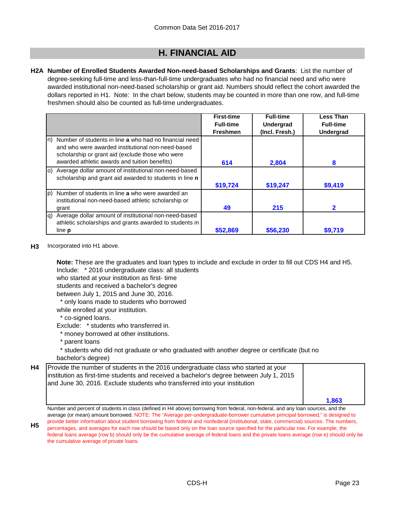**H2A Number of Enrolled Students Awarded Non-need-based Scholarships and Grants**: List the number of degree-seeking full-time and less-than-full-time undergraduates who had no financial need and who were awarded institutional non-need-based scholarship or grant aid. Numbers should reflect the cohort awarded the dollars reported in H1. Note: In the chart below, students may be counted in more than one row, and full-time freshmen should also be counted as full-time undergraduates.

|      |                                                                                                                                                                 | <b>First-time</b> | <b>Full-time</b> | <b>Less Than</b> |
|------|-----------------------------------------------------------------------------------------------------------------------------------------------------------------|-------------------|------------------|------------------|
|      |                                                                                                                                                                 | <b>Full-time</b>  | <b>Undergrad</b> | <b>Full-time</b> |
|      |                                                                                                                                                                 | <b>Freshmen</b>   | (Incl. Fresh.)   | Undergrad        |
| ln). | Number of students in line a who had no financial need<br>and who were awarded institutional non-need-based<br>scholarship or grant aid (exclude those who were |                   |                  |                  |
|      | awarded athletic awards and tuition benefits)                                                                                                                   | 614               | 2,804            | 8                |
|      | o) Average dollar amount of institutional non-need-based<br>scholarship and grant aid awarded to students in line n                                             |                   |                  |                  |
|      |                                                                                                                                                                 | \$19,724          | \$19,247         | \$9,419          |
| lp)  | Number of students in line a who were awarded an<br>institutional non-need-based athletic scholarship or                                                        |                   |                  |                  |
|      | grant                                                                                                                                                           | 49                | 215              | 2                |
| g)   | Average dollar amount of institutional non-need-based<br>athletic scholarships and grants awarded to students in                                                |                   |                  |                  |
|      | line <b>p</b>                                                                                                                                                   | \$52,869          | \$56,230         | \$9,719          |

#### **H3** Incorporated into H1 above.

**Note:** These are the graduates and loan types to include and exclude in order to fill out CDS H4 and H5.

Include: \* 2016 undergraduate class: all students

who started at your institution as first- time

students and received a bachelor's degree

between July 1, 2015 and June 30, 2016.

\* only loans made to students who borrowed

while enrolled at your institution.

- \* co-signed loans.
- Exclude: \* students who transferred in.
- \* money borrowed at other institutions.
- \* parent loans

\* students who did not graduate or who graduated with another degree or certificate (but no

bachelor's degree)

| <b>H4</b> | Provide the number of students in the 2016 undergraduate class who started at your<br>institution as first-time students and received a bachelor's degree between July 1, 2015<br>and June 30, 2016. Exclude students who transferred into your institution |       |
|-----------|-------------------------------------------------------------------------------------------------------------------------------------------------------------------------------------------------------------------------------------------------------------|-------|
|           |                                                                                                                                                                                                                                                             | 1.863 |

Number and percent of students in class (defined in H4 above) borrowing from federal, non-federal, and any loan sources, and the average (or mean) amount borrowed. NOTE: The "Average per-undergraduate-borrower cumulative principal borrowed," is designed to

**H5** provide better information about student borrowing from federal and nonfederal (institutional, state, commercial) sources. The numbers, percentages, and averages for each row should be based only on the loan source specified for the particular row. For example, the federal loans average (row b) should only be the cumulative average of federal loans and the private loans average (row e) should only be the cumulative average of private loans.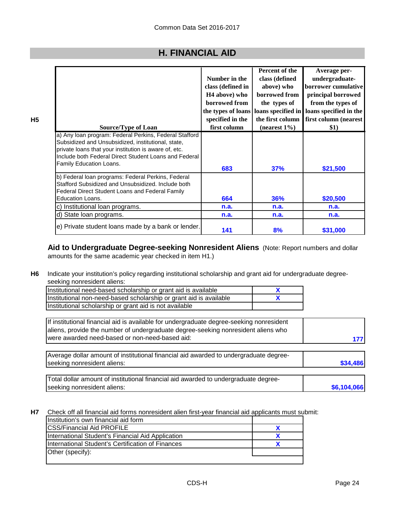| <b>Source/Type of Loan</b>                                                                                                                                  | Number in the<br>class (defined in<br>H <sub>4</sub> above) who<br>borrowed from<br>specified in the<br>first column | Percent of the<br>class (defined<br>above) who<br>borrowed from<br>the types of<br>the types of loans   loans specified in<br>the first column<br>$(nearest 1\%)$ | Average per-<br>undergraduate-<br>borrower cumulative<br>principal borrowed<br>from the types of<br>loans specified in the<br>first column (nearest<br>\$1) |
|-------------------------------------------------------------------------------------------------------------------------------------------------------------|----------------------------------------------------------------------------------------------------------------------|-------------------------------------------------------------------------------------------------------------------------------------------------------------------|-------------------------------------------------------------------------------------------------------------------------------------------------------------|
| a) Any loan program: Federal Perkins, Federal Stafford<br>Subsidized and Unsubsidized, institutional, state,                                                |                                                                                                                      |                                                                                                                                                                   |                                                                                                                                                             |
| private loans that your institution is aware of, etc.<br>Include both Federal Direct Student Loans and Federal                                              |                                                                                                                      |                                                                                                                                                                   |                                                                                                                                                             |
| Family Education Loans.                                                                                                                                     | 683                                                                                                                  | 37%                                                                                                                                                               | \$21,500                                                                                                                                                    |
| b) Federal loan programs: Federal Perkins, Federal<br>Stafford Subsidized and Unsubsidized. Include both<br>Federal Direct Student Loans and Federal Family |                                                                                                                      |                                                                                                                                                                   |                                                                                                                                                             |
| <b>Education Loans.</b>                                                                                                                                     | 664                                                                                                                  | <b>36%</b>                                                                                                                                                        | \$20,500                                                                                                                                                    |
| c) Institutional loan programs.                                                                                                                             | n.a.                                                                                                                 | n.a.                                                                                                                                                              | n.a.                                                                                                                                                        |
| d) State loan programs.                                                                                                                                     | n.a.                                                                                                                 | n.a.                                                                                                                                                              | n.a.                                                                                                                                                        |
| e) Private student loans made by a bank or lender.                                                                                                          | 141                                                                                                                  | 8%                                                                                                                                                                | \$31,000                                                                                                                                                    |

**Aid to Undergraduate Degree-seeking Nonresident Aliens** (Note: Report numbers and dollar amounts for the same academic year checked in item H1.)

**H6** Indicate your institution's policy regarding institutional scholarship and grant aid for undergraduate degreeseeking nonresident aliens:

| Institutional need-based scholarship or grant aid is available     |  |
|--------------------------------------------------------------------|--|
| Institutional non-need-based scholarship or grant aid is available |  |
| Institutional scholarship or grant aid is not available            |  |

**177** If institutional financial aid is available for undergraduate degree-seeking nonresident aliens, provide the number of undergraduate degree-seeking nonresident aliens who were awarded need-based or non-need-based aid:

**\$34,486** Average dollar amount of institutional financial aid awarded to undergraduate degreeseeking nonresident aliens:

**\$6,104,066** Total dollar amount of institutional financial aid awarded to undergraduate degreeseeking nonresident aliens:

**H7** Check off all financial aid forms nonresident alien first-year financial aid applicants must submit:

| Institution's own financial aid form              |  |
|---------------------------------------------------|--|
| <b>CSS/Financial Aid PROFILE</b>                  |  |
| International Student's Financial Aid Application |  |
| International Student's Certification of Finances |  |
| Other (specify):                                  |  |
|                                                   |  |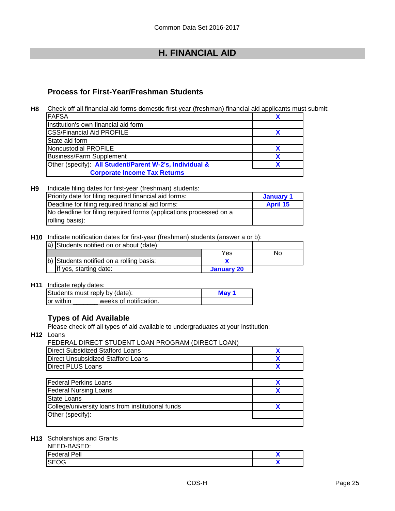### **Process for First-Year/Freshman Students**

**H8** Check off all financial aid forms domestic first-year (freshman) financial aid applicants must submit:

| <b>FAFSA</b>                                            |  |
|---------------------------------------------------------|--|
| Institution's own financial aid form                    |  |
| <b>ICSS/Financial Aid PROFILE</b>                       |  |
| State aid form                                          |  |
| Noncustodial PROFILE                                    |  |
| <b>Business/Farm Supplement</b>                         |  |
| Other (specify): All Student/Parent W-2's, Individual & |  |
| <b>Corporate Income Tax Returns</b>                     |  |

#### **H9 January 1 April 15** No deadline for filing required forms (applications processed on a rolling basis): Indicate filing dates for first-year (freshman) students: Priority date for filing required financial aid forms: Deadline for filing required financial aid forms:

**H10** Indicate notification dates for first-year (freshman) students (answer a or b):

| a) Students notified on or about (date):  |            |    |
|-------------------------------------------|------------|----|
|                                           | Yes        | No |
| (b) Students notified on a rolling basis: |            |    |
| If yes, starting date:                    | January 20 |    |

**H11** Indicate reply dates:

| Students must reply by (date): | Mav                    |  |
|--------------------------------|------------------------|--|
| Tor within                     | weeks of notification. |  |

### **Types of Aid Available**

Please check off all types of aid available to undergraduates at your institution:

**H12** Loans

#### FEDERAL DIRECT STUDENT LOAN PROGRAM (DIRECT LOAN)

| Direct Subsidized Stafford Loans   |  |
|------------------------------------|--|
| Direct Unsubsidized Stafford Loans |  |
| Direct PLUS Loans                  |  |

| <b>Federal Perkins Loans</b>                      |  |
|---------------------------------------------------|--|
| <b>Federal Nursing Loans</b>                      |  |
| State Loans                                       |  |
| College/university loans from institutional funds |  |
| Other (specify):                                  |  |
|                                                   |  |

#### **H13** Scholarships and Grants

| NEED-BASED:         |  |
|---------------------|--|
| <b>Federal Pell</b> |  |
| <b>SEOG</b>         |  |
|                     |  |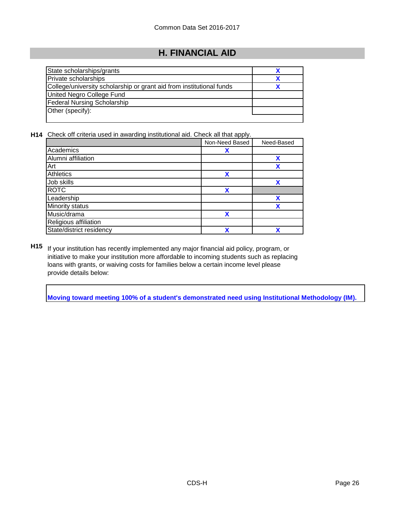| State scholarships/grants                                            |  |
|----------------------------------------------------------------------|--|
| Private scholarships                                                 |  |
| College/university scholarship or grant aid from institutional funds |  |
| United Negro College Fund                                            |  |
| <b>Federal Nursing Scholarship</b>                                   |  |
| Other (specify):                                                     |  |
|                                                                      |  |

**H14** Check off criteria used in awarding institutional aid. Check all that apply.

|                          | Non-Need Based | Need-Based |
|--------------------------|----------------|------------|
| Academics                | χ              |            |
| Alumni affiliation       |                | χ          |
| Art                      |                | χ          |
| Athletics                | χ              |            |
| Job skills               |                | χ          |
| <b>ROTC</b>              | X              |            |
| Leadership               |                | χ          |
| Minority status          |                | v          |
| Music/drama              | χ              |            |
| Religious affiliation    |                |            |
| State/district residency | Y              | v          |

**H15** If your institution has recently implemented any major financial aid policy, program, or initiative to make your institution more affordable to incoming students such as replacing loans with grants, or waiving costs for families below a certain income level please provide details below:

**Moving toward meeting 100% of a student's demonstrated need using Institutional Methodology (IM).**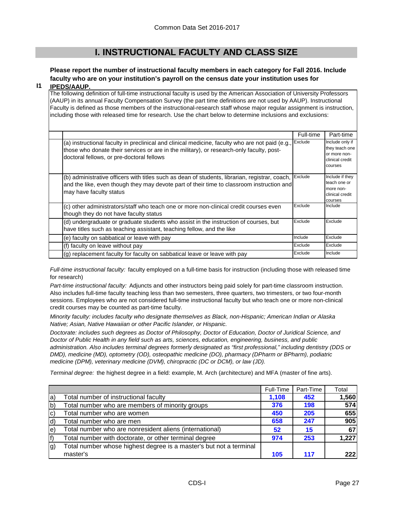### **I. INSTRUCTIONAL FACULTY AND CLASS SIZE**

### **Please report the number of instructional faculty members in each category for Fall 2016. Include faculty who are on your institution's payroll on the census date your institution uses for**

#### **I1 IPEDS/AAUP.**

The following definition of full-time instructional faculty is used by the American Association of University Professors (AAUP) in its annual Faculty Compensation Survey (the part time definitions are not used by AAUP). Instructional Faculty is defined as those members of the instructional-research staff whose major regular assignment is instruction, including those with released time for research. Use the chart below to determine inclusions and exclusions:

|                                                                                                                                                                                                                                          | Full-time | Part-time                                                                       |
|------------------------------------------------------------------------------------------------------------------------------------------------------------------------------------------------------------------------------------------|-----------|---------------------------------------------------------------------------------|
| (a) instructional faculty in preclinical and clinical medicine, faculty who are not paid (e.g.,<br>those who donate their services or are in the military), or research-only faculty, post-<br>doctoral fellows, or pre-doctoral fellows | Exclude   | Include only if<br>they teach one<br>or more non-<br>clinical credit<br>courses |
| (b) administrative officers with titles such as dean of students, librarian, registrar, coach,<br>and the like, even though they may devote part of their time to classroom instruction and<br>may have faculty status                   | Exclude   | Include if they<br>teach one or<br>more non-<br>clinical credit<br>courses      |
| (c) other administrators/staff who teach one or more non-clinical credit courses even<br>though they do not have faculty status                                                                                                          | Exclude   | Include                                                                         |
| (d) undergraduate or graduate students who assist in the instruction of courses, but<br>have titles such as teaching assistant, teaching fellow, and the like                                                                            | Exclude   | Exclude                                                                         |
| (e) faculty on sabbatical or leave with pay                                                                                                                                                                                              | Include   | Exclude                                                                         |
| (f) faculty on leave without pay                                                                                                                                                                                                         | Exclude   | Exclude                                                                         |
| (g) replacement faculty for faculty on sabbatical leave or leave with pay                                                                                                                                                                | Exclude   | Include                                                                         |

*Full-time instructional faculty:* faculty employed on a full-time basis for instruction (including those with released time for research)

*Part-time instructional faculty:* Adjuncts and other instructors being paid solely for part-time classroom instruction. Also includes full-time faculty teaching less than two semesters, three quarters, two trimesters, or two four-month sessions. Employees who are not considered full-time instructional faculty but who teach one or more non-clinical credit courses may be counted as part-time faculty.

*Minority faculty: includes faculty who designate themselves as Black, non-Hispanic; American Indian or Alaska Native; Asian, Native Hawaiian or other Pacific Islander, or Hispanic.* 

*Doctorate: includes such degrees as Doctor of Philosophy, Doctor of Education, Doctor of Juridical Science, and Doctor of Public Health in any field such as arts, sciences, education, engineering, business, and public administration. Also includes terminal degrees formerly designated as "first professional," including dentistry (DDS or DMD), medicine (MD), optometry (OD), osteopathic medicine (DO), pharmacy (DPharm or BPharm), podiatric medicine (DPM), veterinary medicine (DVM), chiropractic (DC or DCM), or law (JD).*

*Terminal degree:* the highest degree in a field: example, M. Arch (architecture) and MFA (master of fine arts).

|             |                                                                    | Full-Time | Part-Time | Total |
|-------------|--------------------------------------------------------------------|-----------|-----------|-------|
| $ a\rangle$ | Total number of instructional faculty                              | 1,108     | 452       | 1,560 |
| b)          | Total number who are members of minority groups                    | 376       | 198       | 574   |
| C)          | Total number who are women                                         | 450       | 205       | 655   |
| d)          | Total number who are men                                           | 658       | 247       | 905   |
| le)         | Total number who are nonresident aliens (international)            | 52        | 15        | 67    |
| f)          | Total number with doctorate, or other terminal degree              | 974       | 253       | 1,227 |
| g)          | Total number whose highest degree is a master's but not a terminal |           |           |       |
|             | master's                                                           | 105       | 117       | 222   |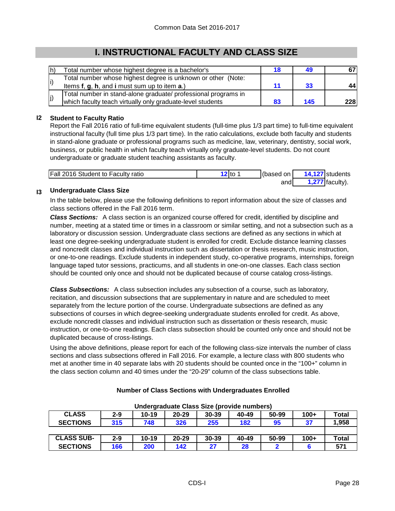### **I. INSTRUCTIONAL FACULTY AND CLASS SIZE**

| lh)         | Total number whose highest degree is a bachelor's              | 18 |     |            |
|-------------|----------------------------------------------------------------|----|-----|------------|
|             | Total number whose highest degree is unknown or other (Note:   |    |     |            |
|             | Items f, g, h, and i must sum up to item a.)                   |    | 33  |            |
|             | Total number in stand-alone graduate/ professional programs in |    |     |            |
| $ j\rangle$ | which faculty teach virtually only graduate-level students     | 83 | 145 | <b>228</b> |

#### **I2 Student to Faculty Ratio**

Report the Fall 2016 ratio of full-time equivalent students (full-time plus 1/3 part time) to full-time equivalent instructional faculty (full time plus 1/3 part time). In the ratio calculations, exclude both faculty and students in stand-alone graduate or professional programs such as medicine, law, veterinary, dentistry, social work, business, or public health in which faculty teach virtually only graduate-level students. Do not count undergraduate or graduate student teaching assistants as faculty.

| <b>Fall 2016 Student to Faculty ratio</b> | $'2$ to $\overline{\phantom{a}}$ | (based on | 14,127 students             |
|-------------------------------------------|----------------------------------|-----------|-----------------------------|
|                                           |                                  | andl      | $\sim$ <b>?77</b> faculty). |

#### **I3 Undergraduate Class Size**

In the table below, please use the following definitions to report information about the size of classes and class sections offered in the Fall 2016 term.

*Class Sections:* A class section is an organized course offered for credit, identified by discipline and number, meeting at a stated time or times in a classroom or similar setting, and not a subsection such as a laboratory or discussion session. Undergraduate class sections are defined as any sections in which at least one degree-seeking undergraduate student is enrolled for credit. Exclude distance learning classes and noncredit classes and individual instruction such as dissertation or thesis research, music instruction, or one-to-one readings. Exclude students in independent study, co-operative programs, internships, foreign language taped tutor sessions, practicums, and all students in one-on-one classes. Each class section should be counted only once and should not be duplicated because of course catalog cross-listings.

*Class Subsections:* A class subsection includes any subsection of a course, such as laboratory, recitation, and discussion subsections that are supplementary in nature and are scheduled to meet separately from the lecture portion of the course. Undergraduate subsections are defined as any subsections of courses in which degree-seeking undergraduate students enrolled for credit. As above, exclude noncredit classes and individual instruction such as dissertation or thesis research, music instruction, or one-to-one readings. Each class subsection should be counted only once and should not be duplicated because of cross-listings.

Using the above definitions, please report for each of the following class-size intervals the number of class sections and class subsections offered in Fall 2016. For example, a lecture class with 800 students who met at another time in 40 separate labs with 20 students should be counted once in the "100+" column in the class section column and 40 times under the "20-29" column of the class subsections table.

| Undergraduate Class Size (provide numbers) |         |           |           |           |       |       |        |              |
|--------------------------------------------|---------|-----------|-----------|-----------|-------|-------|--------|--------------|
| <b>CLASS</b>                               | $2 - 9$ | $10 - 19$ | $20 - 29$ | $30 - 39$ | 40-49 | 50-99 | $100+$ | <b>Total</b> |
| <b>SECTIONS</b>                            | 315     | 748       | 326       | 255       | 182   | 95    | 37     | 1,958        |
|                                            |         |           |           |           |       |       |        |              |
| <b>CLASS SUB-</b>                          | $2 - 9$ | $10 - 19$ | $20 - 29$ | $30 - 39$ | 40-49 | 50-99 | $100+$ | <b>Total</b> |
| <b>SECTIONS</b>                            | 166     | 200       | 142       | 27        | 28    |       |        | 571          |

#### **Number of Class Sections with Undergraduates Enrolled**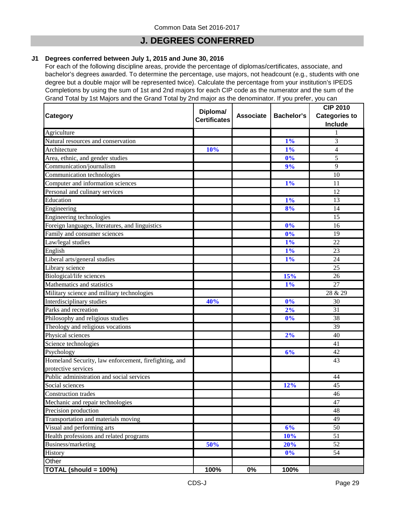### **J. DEGREES CONFERRED**

#### **J1 Degrees conferred between July 1, 2015 and June 30, 2016**

For each of the following discipline areas, provide the percentage of diplomas/certificates, associate, and bachelor's degrees awarded. To determine the percentage, use majors, not headcount (e.g., students with one degree but a double major will be represented twice). Calculate the percentage from your institution's IPEDS Completions by using the sum of 1st and 2nd majors for each CIP code as the numerator and the sum of the Grand Total by 1st Majors and the Grand Total by 2nd major as the denominator. If you prefer, you can

| <b>Category</b>                                       | Diploma/<br><b>Certificates</b> | <b>Associate</b> | <b>Bachelor's</b> | <b>CIP 2010</b><br><b>Categories to</b><br>Include |
|-------------------------------------------------------|---------------------------------|------------------|-------------------|----------------------------------------------------|
| Agriculture                                           |                                 |                  |                   | 1                                                  |
| Natural resources and conservation                    |                                 |                  | 1%                | 3                                                  |
| Architecture                                          | 10%                             |                  | 1%                | 4                                                  |
| Area, ethnic, and gender studies                      |                                 |                  | $\overline{0\%}$  | 5                                                  |
| Communication/journalism                              |                                 |                  | 9%                | 9                                                  |
| Communication technologies                            |                                 |                  |                   | 10                                                 |
| Computer and information sciences                     |                                 |                  | 1%                | 11                                                 |
| Personal and culinary services                        |                                 |                  |                   | 12                                                 |
| Education                                             |                                 |                  | 1%                | 13                                                 |
| Engineering                                           |                                 |                  | 8%                | 14                                                 |
| Engineering technologies                              |                                 |                  |                   | 15                                                 |
| Foreign languages, literatures, and linguistics       |                                 |                  | 0%                | 16                                                 |
| Family and consumer sciences                          |                                 |                  | 0%                | 19                                                 |
| Law/legal studies                                     |                                 |                  | 1%                | 22                                                 |
| English                                               |                                 |                  | $1\%$             | 23                                                 |
| Liberal arts/general studies                          |                                 |                  | 1%                | 24                                                 |
| Library science                                       |                                 |                  |                   | 25                                                 |
| Biological/life sciences                              |                                 |                  | 15%               | 26                                                 |
| Mathematics and statistics                            |                                 |                  | 1%                | 27                                                 |
| Military science and military technologies            |                                 |                  |                   | 28 & 29                                            |
| Interdisciplinary studies                             | 40%                             |                  | 0%                | 30                                                 |
| Parks and recreation                                  |                                 |                  | 2%                | 31                                                 |
| Philosophy and religious studies                      |                                 |                  | 0%                | 38                                                 |
| Theology and religious vocations                      |                                 |                  |                   | 39                                                 |
| Physical sciences                                     |                                 |                  | 2%                | 40                                                 |
| Science technologies                                  |                                 |                  |                   | 41                                                 |
| Psychology                                            |                                 |                  | 6%                | 42                                                 |
| Homeland Security, law enforcement, firefighting, and |                                 |                  |                   | 43                                                 |
| protective services                                   |                                 |                  |                   |                                                    |
| Public administration and social services             |                                 |                  |                   | 44                                                 |
| Social sciences                                       |                                 |                  | 12%               | 45                                                 |
| Construction trades                                   |                                 |                  |                   | 46                                                 |
| Mechanic and repair technologies                      |                                 |                  |                   | 47                                                 |
| Precision production                                  |                                 |                  |                   | 48                                                 |
| Transportation and materials moving                   |                                 |                  |                   | 49                                                 |
| Visual and performing arts                            |                                 |                  | 6%                | 50                                                 |
| Health professions and related programs               |                                 |                  | 10%               | 51                                                 |
| Business/marketing                                    | 50%                             |                  | 20%               | 52                                                 |
| History                                               |                                 |                  | $0\%$             | 54                                                 |
| Other                                                 |                                 |                  |                   |                                                    |
| TOTAL (should = 100%)                                 | 100%                            | 0%               | 100%              |                                                    |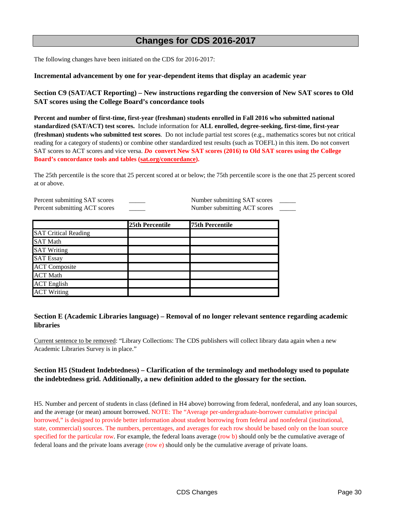### **Changes for CDS 2016-2017**

The following changes have been initiated on the CDS for 2016-2017:

#### **Incremental advancement by one for year-dependent items that display an academic year**

**Section C9 (SAT/ACT Reporting) – New instructions regarding the conversion of New SAT scores to Old SAT scores using the College Board's concordance tools**

**Percent and number of first-time, first-year (freshman) students enrolled in Fall 2016 who submitted national standardized (SAT/ACT) test scores.** Include information for **ALL enrolled, degree-seeking, first-time, first-year (freshman) students who submitted test scores**. Do not include partial test scores (e.g., mathematics scores but not critical reading for a category of students) or combine other standardized test results (such as TOEFL) in this item. Do not convert SAT scores to ACT scores and vice versa. *Do* **convert New SAT scores (2016) to Old SAT scores using the College Board's concordance tools and tables (sat.org/concordance).**

The 25th percentile is the score that 25 percent scored at or below; the 75th percentile score is the one that 25 percent scored at or above.

Percent submitting SAT scores \_\_\_\_\_\_ Number submitting SAT scores Percent submitting ACT scores \_\_\_\_\_\_ Number submitting ACT scores \_\_

|                             | 25th Percentile | 75th Percentile |
|-----------------------------|-----------------|-----------------|
| <b>SAT Critical Reading</b> |                 |                 |
| <b>SAT Math</b>             |                 |                 |
| <b>SAT Writing</b>          |                 |                 |
| <b>SAT Essay</b>            |                 |                 |
| <b>ACT Composite</b>        |                 |                 |
| <b>ACT Math</b>             |                 |                 |
| <b>ACT English</b>          |                 |                 |
| <b>ACT Writing</b>          |                 |                 |

#### **Section E (Academic Libraries language) – Removal of no longer relevant sentence regarding academic libraries**

Current sentence to be removed: "Library Collections: The CDS publishers will collect library data again when a new Academic Libraries Survey is in place."

#### **Section H5 (Student Indebtedness) – Clarification of the terminology and methodology used to populate the indebtedness grid. Additionally, a new definition added to the glossary for the section.**

H5. Number and percent of students in class (defined in H4 above) borrowing from federal, nonfederal, and any loan sources, and the average (or mean) amount borrowed. NOTE: The "Average per-undergraduate-borrower cumulative principal borrowed," is designed to provide better information about student borrowing from federal and nonfederal (institutional, state, commercial) sources. The numbers, percentages, and averages for each row should be based only on the loan source specified for the particular row. For example, the federal loans average (row b) should only be the cumulative average of federal loans and the private loans average (row e) should only be the cumulative average of private loans.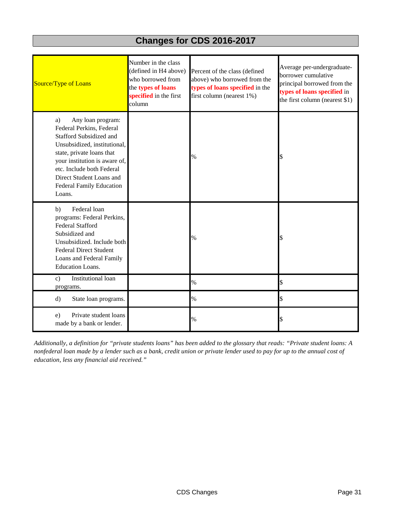# **Changes for CDS 2016-2017**

| Source/Type of Loans                                                                                                                                                                                                                                                               | Number in the class<br>(defined in H4 above)<br>who borrowed from<br>the types of loans<br>specified in the first<br>column | Percent of the class (defined<br>above) who borrowed from the<br>types of loans specified in the<br>first column (nearest 1%) | Average per-undergraduate-<br>borrower cumulative<br>principal borrowed from the<br>types of loans specified in<br>the first column (nearest \$1) |
|------------------------------------------------------------------------------------------------------------------------------------------------------------------------------------------------------------------------------------------------------------------------------------|-----------------------------------------------------------------------------------------------------------------------------|-------------------------------------------------------------------------------------------------------------------------------|---------------------------------------------------------------------------------------------------------------------------------------------------|
| Any loan program:<br>a)<br>Federal Perkins, Federal<br>Stafford Subsidized and<br>Unsubsidized, institutional,<br>state, private loans that<br>your institution is aware of,<br>etc. Include both Federal<br>Direct Student Loans and<br><b>Federal Family Education</b><br>Loans. |                                                                                                                             | $\%$                                                                                                                          | \$                                                                                                                                                |
| Federal loan<br>b)<br>programs: Federal Perkins,<br><b>Federal Stafford</b><br>Subsidized and<br>Unsubsidized. Include both<br><b>Federal Direct Student</b><br>Loans and Federal Family<br><b>Education Loans.</b>                                                                |                                                                                                                             | $\%$                                                                                                                          | \$                                                                                                                                                |
| Institutional loan<br>$\mathbf{c})$<br>programs.                                                                                                                                                                                                                                   |                                                                                                                             | $\%$                                                                                                                          | \$                                                                                                                                                |
| $\rm d$<br>State loan programs.                                                                                                                                                                                                                                                    |                                                                                                                             | $\%$                                                                                                                          | \$                                                                                                                                                |
| Private student loans<br>e)<br>made by a bank or lender.                                                                                                                                                                                                                           |                                                                                                                             | $\%$                                                                                                                          | \$                                                                                                                                                |

*Additionally, a definition for "private students loans" has been added to the glossary that reads: "Private student loans: A nonfederal loan made by a lender such as a bank, credit union or private lender used to pay for up to the annual cost of education, less any financial aid received."*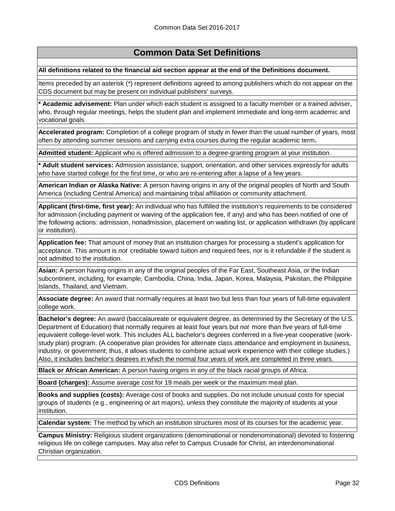#### **All definitions related to the financial aid section appear at the end of the Definitions document.**

Items preceded by an asterisk (\*) represent definitions agreed to among publishers which do not appear on the CDS document but may be present on individual publishers' surveys.

**\* Academic advisement:** Plan under which each student is assigned to a faculty member or a trained adviser, who, through regular meetings, helps the student plan and implement immediate and long-term academic and vocational goals.

**Accelerated program:** Completion of a college program of study in fewer than the usual number of years, most often by attending summer sessions and carrying extra courses during the regular academic term**.**

**Admitted student:** Applicant who is offered admission to a degree-granting program at your institution.

**\* Adult student services:** Admission assistance, support, orientation, and other services expressly for adults who have started college for the first time, or who are re-entering after a lapse of a few years.

**American Indian or Alaska Native:** A person having origins in any of the original peoples of North and South America (including Central America) and maintaining tribal affiliation or community attachment.

**Applicant (first-time, first year):** An individual who has fulfilled the institution's requirements to be considered for admission (including payment or waiving of the application fee, if any) and who has been notified of one of the following actions: admission, nonadmission, placement on waiting list, or application withdrawn (by applicant or institution).

**Application fee:** That amount of money that an institution charges for processing a student's application for acceptance. This amount is *not* creditable toward tuition and required fees, nor is it refundable if the student is not admitted to the institution.

**Asian:** A person having origins in any of the original peoples of the Far East, Southeast Asia, or the Indian subcontinent, including, for example, Cambodia, China, India, Japan, Korea, Malaysia, Pakistan, the Philippine Islands, Thailand, and Vietnam.

**Associate degree:** An award that normally requires at least two but less than four years of full-time equivalent college work.

**Bachelor's degree:** An award (baccalaureate or equivalent degree, as determined by the Secretary of the U.S. Department of Education) that normally requires at least four years but *not* more than five years of full-time equivalent college-level work. This includes ALL bachelor's degrees conferred in a five-year cooperative (workstudy plan) program. (A cooperative plan provides for alternate class attendance and employment in business, industry, or government; thus, it allows students to combine actual work experience with their college studies.) Also, it includes bachelor's degrees in which the normal four years of work are completed in three years.

**Black or African American:** A person having origins in any of the black racial groups of Africa.

**Board (charges):** Assume average cost for 19 meals per week or the maximum meal plan.

**Books and supplies (costs):** Average cost of books and supplies. Do not include unusual costs for special groups of students (e.g., engineering or art majors), unless they constitute the majority of students at your institution.

**Calendar system:** The method by which an institution structures most of its courses for the academic year.

**Campus Ministry:** Religious student organizations (denominational or nondenominational) devoted to fostering religious life on college campuses. May also refer to Campus Crusade for Christ, an interdenominational Christian organization.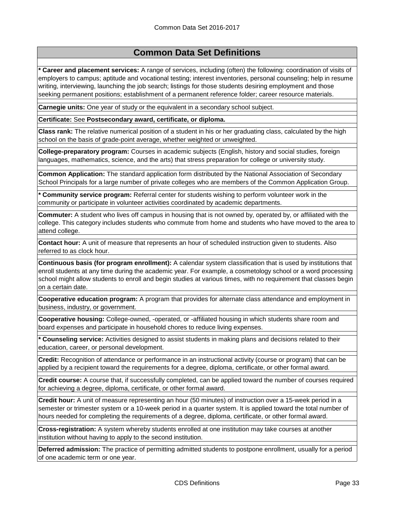**\* Career and placement services:** A range of services, including (often) the following: coordination of visits of employers to campus; aptitude and vocational testing; interest inventories, personal counseling; help in resume writing, interviewing, launching the job search; listings for those students desiring employment and those seeking permanent positions; establishment of a permanent reference folder; career resource materials.

**Carnegie units:** One year of study or the equivalent in a secondary school subject.

**Certificate:** See **Postsecondary award, certificate, or diploma.**

**Class rank:** The relative numerical position of a student in his or her graduating class, calculated by the high school on the basis of grade-point average, whether weighted or unweighted.

**College-preparatory program:** Courses in academic subjects (English, history and social studies, foreign languages, mathematics, science, and the arts) that stress preparation for college or university study.

**Common Application:** The standard application form distributed by the National Association of Secondary School Principals for a large number of private colleges who are members of the Common Application Group.

**\* Community service program:** Referral center for students wishing to perform volunteer work in the community or participate in volunteer activities coordinated by academic departments.

**Commuter:** A student who lives off campus in housing that is not owned by, operated by, or affiliated with the college. This category includes students who commute from home and students who have moved to the area to attend college.

**Contact hour:** A unit of measure that represents an hour of scheduled instruction given to students. Also referred to as clock hour.

**Continuous basis (for program enrollment):** A calendar system classification that is used by institutions that enroll students at any time during the academic year. For example, a cosmetology school or a word processing school might allow students to enroll and begin studies at various times, with no requirement that classes begin on a certain date.

**Cooperative education program:** A program that provides for alternate class attendance and employment in business, industry, or government.

**Cooperative housing:** College-owned, -operated, or -affiliated housing in which students share room and board expenses and participate in household chores to reduce living expenses.

**\* Counseling service:** Activities designed to assist students in making plans and decisions related to their education, career, or personal development.

**Credit:** Recognition of attendance or performance in an instructional activity (course or program) that can be applied by a recipient toward the requirements for a degree, diploma, certificate, or other formal award.

**Credit course:** A course that, if successfully completed, can be applied toward the number of courses required for achieving a degree, diploma, certificate, or other formal award.

**Credit hour:** A unit of measure representing an hour (50 minutes) of instruction over a 15-week period in a semester or trimester system or a 10-week period in a quarter system. It is applied toward the total number of hours needed for completing the requirements of a degree, diploma, certificate, or other formal award.

**Cross-registration:** A system whereby students enrolled at one institution may take courses at another institution without having to apply to the second institution.

**Deferred admission:** The practice of permitting admitted students to postpone enrollment, usually for a period of one academic term or one year.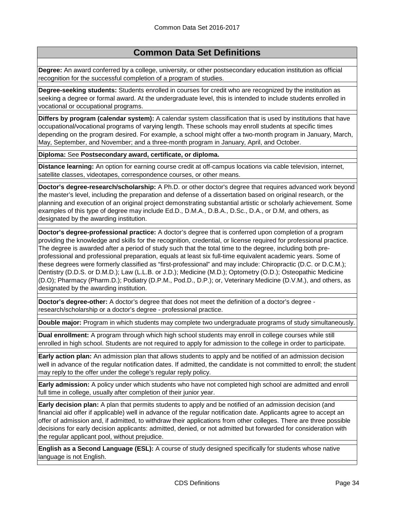**Degree:** An award conferred by a college, university, or other postsecondary education institution as official recognition for the successful completion of a program of studies.

**Degree-seeking students:** Students enrolled in courses for credit who are recognized by the institution as seeking a degree or formal award. At the undergraduate level, this is intended to include students enrolled in vocational or occupational programs.

**Differs by program (calendar system):** A calendar system classification that is used by institutions that have occupational/vocational programs of varying length. These schools may enroll students at specific times depending on the program desired. For example, a school might offer a two-month program in January, March, May, September, and November; and a three-month program in January, April, and October.

**Diploma:** See **Postsecondary award, certificate, or diploma.**

**Distance learning:** An option for earning course credit at off-campus locations via cable television, internet, satellite classes, videotapes, correspondence courses, or other means.

**Doctor's degree-research/scholarship:** A Ph.D. or other doctor's degree that requires advanced work beyond the master's level, including the preparation and defense of a dissertation based on original research, or the planning and execution of an original project demonstrating substantial artistic or scholarly achievement. Some examples of this type of degree may include Ed.D., D.M.A., D.B.A., D.Sc., D.A., or D.M, and others, as designated by the awarding institution.

**Doctor's degree-professional practice:** A doctor's degree that is conferred upon completion of a program providing the knowledge and skills for the recognition, credential, or license required for professional practice. The degree is awarded after a period of study such that the total time to the degree, including both preprofessional and professional preparation, equals at least six full-time equivalent academic years. Some of these degrees were formerly classified as "first-professional" and may include: Chiropractic (D.C. or D.C.M.); Dentistry (D.D.S. or D.M.D.); Law (L.L.B. or J.D.); Medicine (M.D.); Optometry (O.D.); Osteopathic Medicine (D.O); Pharmacy (Pharm.D.); Podiatry (D.P.M., Pod.D., D.P.); or, Veterinary Medicine (D.V.M.), and others, as designated by the awarding institution.

**Doctor's degree-other:** A doctor's degree that does not meet the definition of a doctor's degree research/scholarship or a doctor's degree - professional practice.

**Double major:** Program in which students may complete two undergraduate programs of study simultaneously.

**Dual enrollment:** A program through which high school students may enroll in college courses while still enrolled in high school. Students are not required to apply for admission to the college in order to participate.

**Early action plan:** An admission plan that allows students to apply and be notified of an admission decision well in advance of the regular notification dates. If admitted, the candidate is not committed to enroll; the student may reply to the offer under the college's regular reply policy.

**Early admission:** A policy under which students who have not completed high school are admitted and enroll full time in college, usually after completion of their junior year.

**Early decision plan:** A plan that permits students to apply and be notified of an admission decision (and financial aid offer if applicable) well in advance of the regular notification date. Applicants agree to accept an offer of admission and, if admitted, to withdraw their applications from other colleges. There are three possible decisions for early decision applicants: admitted, denied, or not admitted but forwarded for consideration with the regular applicant pool, without prejudice.

**English as a Second Language (ESL):** A course of study designed specifically for students whose native language is not English.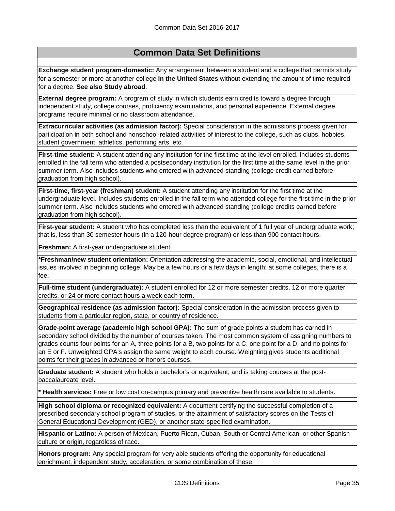**Exchange student program-domestic:** Any arrangement between a student and a college that permits study for a semester or more at another college **in the United States** without extending the amount of time required for a degree. **See also Study abroad**.

**External degree program:** A program of study in which students earn credits toward a degree through independent study, college courses, proficiency examinations, and personal experience. External degree programs require minimal or no classroom attendance.

**Extracurricular activities (as admission factor):** Special consideration in the admissions process given for participation in both school and nonschool-related activities of interest to the college, such as clubs, hobbies, student government, athletics, performing arts, etc.

**First-time student:** A student attending any institution for the first time at the level enrolled. Includes students enrolled in the fall term who attended a postsecondary institution for the first time at the same level in the prior summer term. Also includes students who entered with advanced standing (college credit earned before graduation from high school).

**First-time, first-year (freshman) student:** A student attending any institution for the first time at the undergraduate level. Includes students enrolled in the fall term who attended college for the first time in the prior summer term. Also includes students who entered with advanced standing (college credits earned before graduation from high school).

**First-year student:** A student who has completed less than the equivalent of 1 full year of undergraduate work; that is, less than 30 semester hours (in a 120-hour degree program) or less than 900 contact hours.

**Freshman:** A first-year undergraduate student.

**\*Freshman/new student orientation:** Orientation addressing the academic, social, emotional, and intellectual issues involved in beginning college. May be a few hours or a few days in length; at some colleges, there is a fee.

**Full-time student (undergraduate):** A student enrolled for 12 or more semester credits, 12 or more quarter credits, or 24 or more contact hours a week each term.

**Geographical residence (as admission factor):** Special consideration in the admission process given to students from a particular region, state, or country of residence.

**Grade-point average (academic high school GPA):** The sum of grade points a student has earned in secondary school divided by the number of courses taken. The most common system of assigning numbers to grades counts four points for an A, three points for a B, two points for a C, one point for a D, and no points for an E or F. Unweighted GPA's assign the same weight to each course. Weighting gives students additional points for their grades in advanced or honors courses.

**Graduate student:** A student who holds a bachelor's or equivalent, and is taking courses at the postbaccalaureate level.

**\* Health services:** Free or low cost on-campus primary and preventive health care available to students.

**High school diploma or recognized equivalent:** A document certifying the successful completion of a prescribed secondary school program of studies, or the attainment of satisfactory scores on the Tests of General Educational Development (GED), or another state-specified examination.

**Hispanic or Latino:** A person of Mexican, Puerto Rican, Cuban, South or Central American, or other Spanish culture or origin, regardless of race.

**Honors program:** Any special program for very able students offering the opportunity for educational enrichment, independent study, acceleration, or some combination of these.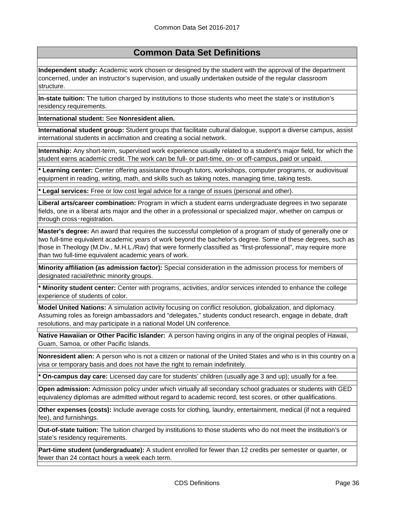**Independent study:** Academic work chosen or designed by the student with the approval of the department concerned, under an instructor's supervision, and usually undertaken outside of the regular classroom structure.

**In-state tuition:** The tuition charged by institutions to those students who meet the state's or institution's residency requirements.

**International student:** See **Nonresident alien.**

**International student group:** Student groups that facilitate cultural dialogue, support a diverse campus, assist international students in acclimation and creating a social network.

**Internship:** Any short-term, supervised work experience usually related to a student's major field, for which the student earns academic credit. The work can be full- or part-time, on- or off-campus, paid or unpaid.

**\* Learning center:** Center offering assistance through tutors, workshops, computer programs, or audiovisual equipment in reading, writing, math, and skills such as taking notes, managing time, taking tests.

**\* Legal services:** Free or low cost legal advice for a range of issues (personal and other).

**Liberal arts/career combination:** Program in which a student earns undergraduate degrees in two separate fields, one in a liberal arts major and the other in a professional or specialized major, whether on campus or through cross‑registration.

**Master's degree:** An award that requires the successful completion of a program of study of generally one or two full-time equivalent academic years of work beyond the bachelor's degree. Some of these degrees, such as those in Theology (M.Div., M.H.L./Rav) that were formerly classified as "first-professional", may require more than two full-time equivalent academic years of work.

**Minority affiliation (as admission factor):** Special consideration in the admission process for members of designated racial/ethnic minority groups.

**\* Minority student center:** Center with programs, activities, and/or services intended to enhance the college experience of students of color.

**Model United Nations:** A simulation activity focusing on conflict resolution, globalization, and diplomacy. Assuming roles as foreign ambassadors and "delegates," students conduct research, engage in debate, draft resolutions, and may participate in a national Model UN conference.

**Native Hawaiian or Other Pacific Islander:** A person having origins in any of the original peoples of Hawaii, Guam, Samoa, or other Pacific Islands.

**Nonresident alien:** A person who is not a citizen or national of the United States and who is in this country on a visa or temporary basis and does not have the right to remain indefinitely.

**\* On-campus day care:** Licensed day care for students' children (usually age 3 and up); usually for a fee.

**Open admission:** Admission policy under which virtually all secondary school graduates or students with GED equivalency diplomas are admitted without regard to academic record, test scores, or other qualifications.

**Other expenses (costs):** Include average costs for clothing, laundry, entertainment, medical (if not a required fee), and furnishings.

**Out-of-state tuition:** The tuition charged by institutions to those students who do not meet the institution's or state's residency requirements.

**Part-time student (undergraduate):** A student enrolled for fewer than 12 credits per semester or quarter, or fewer than 24 contact hours a week each term.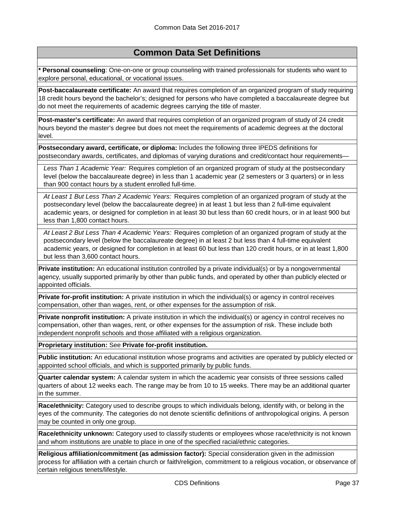**\* Personal counseling**: One-on-one or group counseling with trained professionals for students who want to explore personal, educational, or vocational issues.

**Post-baccalaureate certificate:** An award that requires completion of an organized program of study requiring 18 credit hours beyond the bachelor's; designed for persons who have completed a baccalaureate degree but do not meet the requirements of academic degrees carrying the title of master.

**Post-master's certificate:** An award that requires completion of an organized program of study of 24 credit hours beyond the master's degree but does not meet the requirements of academic degrees at the doctoral level.

**Postsecondary award, certificate, or diploma:** Includes the following three IPEDS definitions for postsecondary awards, certificates, and diplomas of varying durations and credit/contact hour requirements-

*Less Than 1 Academic Year:* Requires completion of an organized program of study at the postsecondary level (below the baccalaureate degree) in less than 1 academic year (2 semesters or 3 quarters) or in less than 900 contact hours by a student enrolled full-time.

*At Least 1 But Less Than 2 Academic Years:* Requires completion of an organized program of study at the postsecondary level (below the baccalaureate degree) in at least 1 but less than 2 full-time equivalent academic years, or designed for completion in at least 30 but less than 60 credit hours, or in at least 900 but less than 1,800 contact hours.

*At Least 2 But Less Than 4 Academic Years:* Requires completion of an organized program of study at the postsecondary level (below the baccalaureate degree) in at least 2 but less than 4 full-time equivalent academic years, or designed for completion in at least 60 but less than 120 credit hours, or in at least 1,800 but less than 3,600 contact hours.

**Private institution:** An educational institution controlled by a private individual(s) or by a nongovernmental agency, usually supported primarily by other than public funds, and operated by other than publicly elected or appointed officials.

**Private for-profit institution:** A private institution in which the individual(s) or agency in control receives compensation, other than wages, rent, or other expenses for the assumption of risk.

**Private nonprofit institution:** A private institution in which the individual(s) or agency in control receives no compensation, other than wages, rent, or other expenses for the assumption of risk. These include both independent nonprofit schools and those affiliated with a religious organization.

**Proprietary institution:** See **Private for-profit institution.**

**Public institution:** An educational institution whose programs and activities are operated by publicly elected or appointed school officials, and which is supported primarily by public funds.

**Quarter calendar system:** A calendar system in which the academic year consists of three sessions called quarters of about 12 weeks each. The range may be from 10 to 15 weeks. There may be an additional quarter in the summer.

**Race/ethnicity:** Category used to describe groups to which individuals belong, identify with, or belong in the eyes of the community. The categories do not denote scientific definitions of anthropological origins. A person may be counted in only one group.

**Race/ethnicity unknown:** Category used to classify students or employees whose race/ethnicity is not known and whom institutions are unable to place in one of the specified racial/ethnic categories.

**Religious affiliation/commitment (as admission factor):** Special consideration given in the admission process for affiliation with a certain church or faith/religion, commitment to a religious vocation, or observance of certain religious tenets/lifestyle.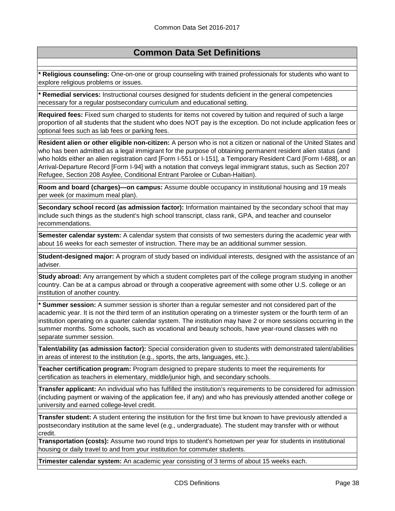**\* Religious counseling:** One-on-one or group counseling with trained professionals for students who want to explore religious problems or issues.

**\* Remedial services:** Instructional courses designed for students deficient in the general competencies necessary for a regular postsecondary curriculum and educational setting.

**Required fees:** Fixed sum charged to students for items not covered by tuition and required of such a large proportion of all students that the student who does NOT pay is the exception. Do not include application fees or optional fees such as lab fees or parking fees.

**Resident alien or other eligible non-citizen:** A person who is not a citizen or national of the United States and who has been admitted as a legal immigrant for the purpose of obtaining permanent resident alien status (and who holds either an alien registration card [Form I-551 or I-151], a Temporary Resident Card [Form I-688], or an Arrival-Departure Record [Form I-94] with a notation that conveys legal immigrant status, such as Section 207 Refugee, Section 208 Asylee, Conditional Entrant Parolee or Cuban-Haitian).

**Room and board (charges)—on campus:** Assume double occupancy in institutional housing and 19 meals per week (or maximum meal plan).

**Secondary school record (as admission factor):** Information maintained by the secondary school that may include such things as the student's high school transcript, class rank, GPA, and teacher and counselor recommendations.

**Semester calendar system:** A calendar system that consists of two semesters during the academic year with about 16 weeks for each semester of instruction. There may be an additional summer session.

**Student-designed major:** A program of study based on individual interests, designed with the assistance of an adviser.

**Study abroad:** Any arrangement by which a student completes part of the college program studying in another country. Can be at a campus abroad or through a cooperative agreement with some other U.S. college or an institution of another country.

**\* Summer session:** A summer session is shorter than a regular semester and not considered part of the academic year. It is not the third term of an institution operating on a trimester system or the fourth term of an institution operating on a quarter calendar system. The institution may have 2 or more sessions occurring in the summer months. Some schools, such as vocational and beauty schools, have year-round classes with no separate summer session.

**Talent/ability (as admission factor):** Special consideration given to students with demonstrated talent/abilities in areas of interest to the institution (e.g., sports, the arts, languages, etc.).

**Teacher certification program:** Program designed to prepare students to meet the requirements for certification as teachers in elementary, middle/junior high, and secondary schools.

**Transfer applicant:** An individual who has fulfilled the institution's requirements to be considered for admission (including payment or waiving of the application fee, if any) and who has previously attended another college or university and earned college-level credit.

**Transfer student:** A student entering the institution for the first time but known to have previously attended a postsecondary institution at the same level (e.g., undergraduate). The student may transfer with or without credit.

**Transportation (costs):** Assume two round trips to student's hometown per year for students in institutional housing or daily travel to and from your institution for commuter students.

**Trimester calendar system:** An academic year consisting of 3 terms of about 15 weeks each.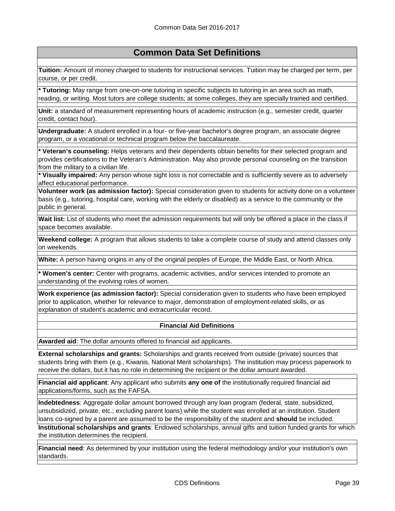**Tuition:** Amount of money charged to students for instructional services. Tuition may be charged per term, per course, or per credit.

**\* Tutoring:** May range from one-on-one tutoring in specific subjects to tutoring in an area such as math, reading, or writing. Most tutors are college students; at some colleges, they are specially trained and certified.

**Unit:** a standard of measurement representing hours of academic instruction (e.g., semester credit, quarter credit, contact hour).

**Undergraduate:** A student enrolled in a four- or five-year bachelor's degree program, an associate degree program, or a vocational or technical program below the baccalaureate.

**\* Veteran's counseling:** Helps veterans and their dependents obtain benefits for their selected program and provides certifications to the Veteran's Administration. May also provide personal counseling on the transition from the military to a civilian life.

**\* Visually impaired:** Any person whose sight loss is not correctable and is sufficiently severe as to adversely affect educational performance.

**Volunteer work (as admission factor):** Special consideration given to students for activity done on a volunteer basis (e.g., tutoring, hospital care, working with the elderly or disabled) as a service to the community or the public in general.

**Wait list:** List of students who meet the admission requirements but will only be offered a place in the class if space becomes available.

**Weekend college:** A program that allows students to take a complete course of study and attend classes only on weekends.

**White:** A person having origins in any of the original peoples of Europe, the Middle East, or North Africa.

**\* Women's center:** Center with programs, academic activities, and/or services intended to promote an understanding of the evolving roles of women.

**Work experience (as admission factor):** Special consideration given to students who have been employed prior to application, whether for relevance to major, demonstration of employment-related skills, or as explanation of student's academic and extracurricular record.

#### **Financial Aid Definitions**

**Awarded aid**: The dollar amounts offered to financial aid applicants.

**External scholarships and grants:** Scholarships and grants received from outside (private) sources that students bring with them (e.g., Kiwanis, National Merit scholarships). The institution may process paperwork to receive the dollars, but it has no role in determining the recipient or the dollar amount awarded.

**Financial aid applicant**: Any applicant who submits **any one of** the institutionally required financial aid applications/forms, such as the FAFSA.

**Indebtedness**: Aggregate dollar amount borrowed through any loan program (federal, state, subsidized, unsubsidized, private, etc.; excluding parent loans) while the student was enrolled at an institution. Student loans co-signed by a parent are assumed to be the responsibility of the student and **should** be included.

**Institutional scholarships and grants**: Endowed scholarships, annual gifts and tuition funded grants for which the institution determines the recipient.

**Financial need**: As determined by your institution using the federal methodology and/or your institution's own standards.